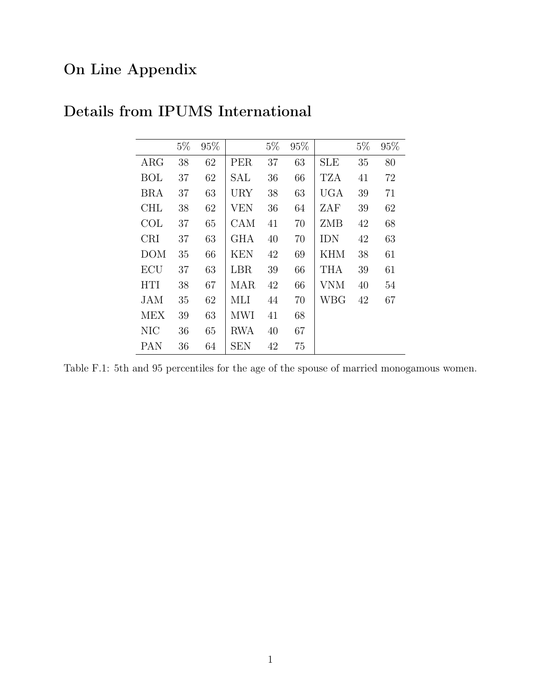## On Line Appendix

|            | $5\%$ | 95% |            | $5\%$ | 95% |            | $5\%$ | 95% |
|------------|-------|-----|------------|-------|-----|------------|-------|-----|
| $\rm{ARG}$ | 38    | 62  | <b>PER</b> | 37    | 63  | <b>SLE</b> | 35    | 80  |
| BOL        | 37    | 62  | SAL        | 36    | 66  | TZA        | 41    | 72  |
| <b>BRA</b> | 37    | 63  | URY        | 38    | 63  | <b>UGA</b> | 39    | 71  |
| <b>CHL</b> | 38    | 62  | VEN        | 36    | 64  | ZAF        | 39    | 62  |
| COL        | 37    | 65  | CAM        | 41    | 70  | ZMB        | 42    | 68  |
| <b>CRI</b> | 37    | 63  | <b>GHA</b> | 40    | 70  | <b>IDN</b> | 42    | 63  |
| <b>DOM</b> | 35    | 66  | KEN        | 42    | 69  | <b>KHM</b> | 38    | 61  |
| ECU        | 37    | 63  | LBR        | 39    | 66  | THA        | 39    | 61  |
| <b>HTI</b> | 38    | 67  | MAR        | 42    | 66  | <b>VNM</b> | 40    | 54  |
| <b>JAM</b> | 35    | 62  | MLI        | 44    | 70  | WBG        | 42    | 67  |
| <b>MEX</b> | 39    | 63  | MWI        | 41    | 68  |            |       |     |
| <b>NIC</b> | 36    | 65  | <b>RWA</b> | 40    | 67  |            |       |     |
| PAN        | 36    | 64  | SEN        | 42    | 75  |            |       |     |

## Details from IPUMS International

Table F.1: 5th and 95 percentiles for the age of the spouse of married monogamous women.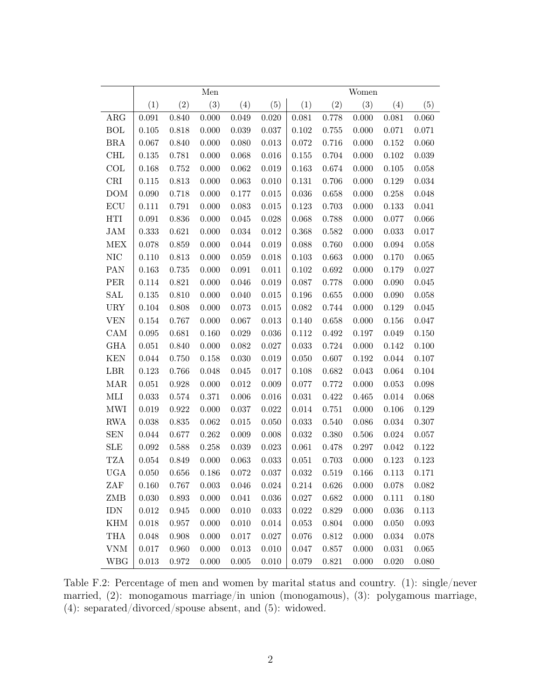|            |           |       | Men         |       |       |           |       | Women |       |       |
|------------|-----------|-------|-------------|-------|-------|-----------|-------|-------|-------|-------|
|            | (1)       | (2)   | (3)         | (4)   | (5)   | (1)       | (2)   | (3)   | (4)   | (5)   |
| ARG        | 0.091     | 0.840 | 0.000       | 0.049 | 0.020 | 0.081     | 0.778 | 0.000 | 0.081 | 0.060 |
| <b>BOL</b> | 0.105     | 0.818 | 0.000       | 0.039 | 0.037 | 0.102     | 0.755 | 0.000 | 0.071 | 0.071 |
| <b>BRA</b> | 0.067     | 0.840 | 0.000       | 0.080 | 0.013 | 0.072     | 0.716 | 0.000 | 0.152 | 0.060 |
| CHL        | 0.135     | 0.781 | 0.000       | 0.068 | 0.016 | 0.155     | 0.704 | 0.000 | 0.102 | 0.039 |
| COL        | 0.168     | 0.752 | 0.000       | 0.062 | 0.019 | 0.163     | 0.674 | 0.000 | 0.105 | 0.058 |
| CRI        | 0.115     | 0.813 | 0.000       | 0.063 | 0.010 | 0.131     | 0.706 | 0.000 | 0.129 | 0.034 |
| DOM        | 0.090     | 0.718 | 0.000       | 0.177 | 0.015 | $0.036\,$ | 0.658 | 0.000 | 0.258 | 0.048 |
| ECU        | 0.111     | 0.791 | 0.000       | 0.083 | 0.015 | $0.123\,$ | 0.703 | 0.000 | 0.133 | 0.041 |
| HTI        | 0.091     | 0.836 | 0.000       | 0.045 | 0.028 | 0.068     | 0.788 | 0.000 | 0.077 | 0.066 |
| JAM        | 0.333     | 0.621 | 0.000       | 0.034 | 0.012 | 0.368     | 0.582 | 0.000 | 0.033 | 0.017 |
| <b>MEX</b> | 0.078     | 0.859 | 0.000       | 0.044 | 0.019 | 0.088     | 0.760 | 0.000 | 0.094 | 0.058 |
| <b>NIC</b> | 0.110     | 0.813 | 0.000       | 0.059 | 0.018 | 0.103     | 0.663 | 0.000 | 0.170 | 0.065 |
| PAN        | 0.163     | 0.735 | 0.000       | 0.091 | 0.011 | $0.102\,$ | 0.692 | 0.000 | 0.179 | 0.027 |
| PER        | 0.114     | 0.821 | 0.000       | 0.046 | 0.019 | 0.087     | 0.778 | 0.000 | 0.090 | 0.045 |
| SAL        | 0.135     | 0.810 | 0.000       | 0.040 | 0.015 | 0.196     | 0.655 | 0.000 | 0.090 | 0.058 |
| <b>URY</b> | 0.104     | 0.808 | 0.000       | 0.073 | 0.015 | 0.082     | 0.744 | 0.000 | 0.129 | 0.045 |
| <b>VEN</b> | 0.154     | 0.767 | 0.000       | 0.067 | 0.013 | 0.140     | 0.658 | 0.000 | 0.156 | 0.047 |
| CAM        | 0.095     | 0.681 | 0.160       | 0.029 | 0.036 | 0.112     | 0.492 | 0.197 | 0.049 | 0.150 |
| <b>GHA</b> | 0.051     | 0.840 | 0.000       | 0.082 | 0.027 | 0.033     | 0.724 | 0.000 | 0.142 | 0.100 |
| <b>KEN</b> | 0.044     | 0.750 | 0.158       | 0.030 | 0.019 | 0.050     | 0.607 | 0.192 | 0.044 | 0.107 |
| LBR        | 0.123     | 0.766 | 0.048       | 0.045 | 0.017 | 0.108     | 0.682 | 0.043 | 0.064 | 0.104 |
| MAR        | 0.051     | 0.928 | 0.000       | 0.012 | 0.009 | 0.077     | 0.772 | 0.000 | 0.053 | 0.098 |
| MLI        | 0.033     | 0.574 | 0.371       | 0.006 | 0.016 | $0.031\,$ | 0.422 | 0.465 | 0.014 | 0.068 |
| <b>MWI</b> | 0.019     | 0.922 | 0.000       | 0.037 | 0.022 | 0.014     | 0.751 | 0.000 | 0.106 | 0.129 |
| <b>RWA</b> | 0.038     | 0.835 | 0.062       | 0.015 | 0.050 | 0.033     | 0.540 | 0.086 | 0.034 | 0.307 |
| <b>SEN</b> | 0.044     | 0.677 | 0.262       | 0.009 | 0.008 | 0.032     | 0.380 | 0.506 | 0.024 | 0.057 |
| <b>SLE</b> | 0.092     | 0.588 | 0.258       | 0.039 | 0.023 | 0.061     | 0.478 | 0.297 | 0.042 | 0.122 |
| TZA        | 0.054     | 0.849 | 0.000       | 0.063 | 0.033 | 0.051     | 0.703 | 0.000 | 0.123 | 0.123 |
| <b>UGA</b> | 0.050     | 0.656 | 0.186       | 0.072 | 0.037 | 0.032     | 0.519 | 0.166 | 0.113 | 0.171 |
| ZAF        | 0.160     | 0.767 | $\,0.003\,$ | 0.046 | 0.024 | 0.214     | 0.626 | 0.000 | 0.078 | 0.082 |
| ZMB        | 0.030     | 0.893 | 0.000       | 0.041 | 0.036 | $0.027\,$ | 0.682 | 0.000 | 0.111 | 0.180 |
| $\rm{IDN}$ | $0.012\,$ | 0.945 | 0.000       | 0.010 | 0.033 | $0.022\,$ | 0.829 | 0.000 | 0.036 | 0.113 |
| <b>KHM</b> | 0.018     | 0.957 | 0.000       | 0.010 | 0.014 | 0.053     | 0.804 | 0.000 | 0.050 | 0.093 |
| <b>THA</b> | 0.048     | 0.908 | 0.000       | 0.017 | 0.027 | 0.076     | 0.812 | 0.000 | 0.034 | 0.078 |
| <b>VNM</b> | $0.017\,$ | 0.960 | 0.000       | 0.013 | 0.010 | 0.047     | 0.857 | 0.000 | 0.031 | 0.065 |
| <b>WBG</b> | 0.013     | 0.972 | 0.000       | 0.005 | 0.010 | 0.079     | 0.821 | 0.000 | 0.020 | 0.080 |

Table F.2: Percentage of men and women by marital status and country. (1): single/never married, (2): monogamous marriage/in union (monogamous), (3): polygamous marriage, (4): separated/divorced/spouse absent, and (5): widowed.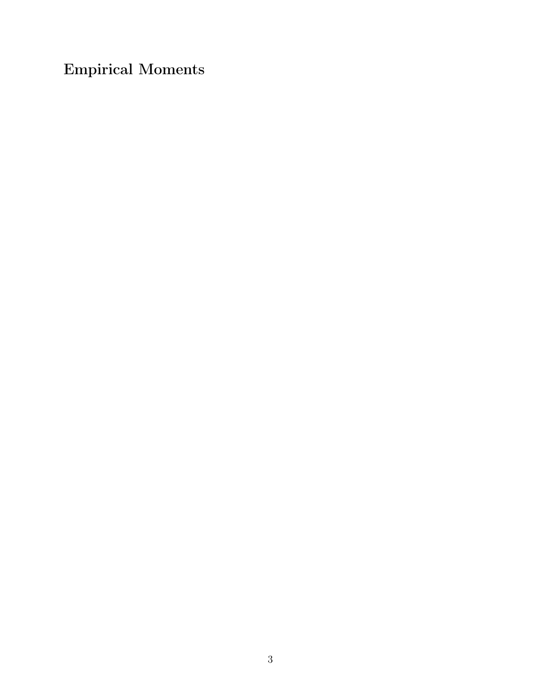Empirical Moments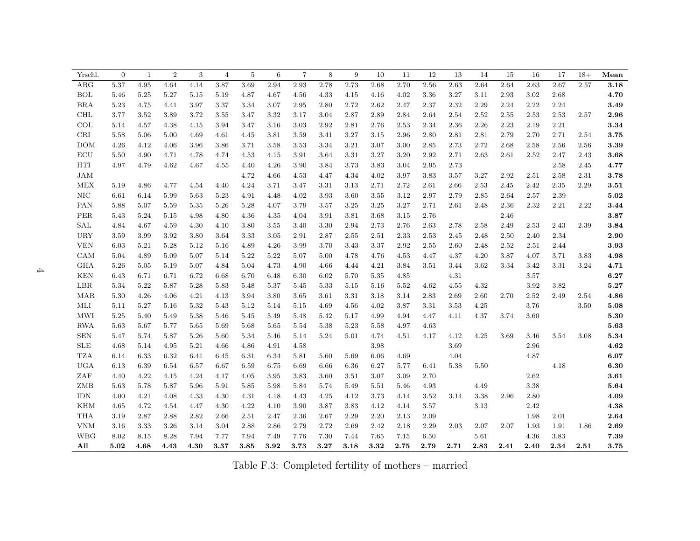| Yrschl.                         | $\overline{0}$ | $\mathbf{1}$ | $\overline{2}$ | 3    | $\overline{4}$ | $\overline{5}$ | 6    | $\overline{7}$ | 8    | 9    | 10   | 11   | 12   | 13   | 14       | 15   | 16       | 17       | $18+$ | Mean                |
|---------------------------------|----------------|--------------|----------------|------|----------------|----------------|------|----------------|------|------|------|------|------|------|----------|------|----------|----------|-------|---------------------|
| ARG                             | 5.37           | 4.95         | 4.64           | 4.14 | 3.87           | 3.69           | 2.94 | 2.93           | 2.78 | 2.73 | 2.68 | 2.70 | 2.56 | 2.63 | 2.64     | 2.64 | 2.63     | 2.67     | 2.57  | 3.18                |
| <b>BOL</b>                      | 5.46           | 5.25         | 5.27           | 5.15 | 5.19           | 4.87           | 4.67 | 4.56           | 4.33 | 4.15 | 4.16 | 4.02 | 3.36 | 3.27 | 3.11     | 2.93 | 3.02     | 2.68     |       | 4.70                |
| <b>BRA</b>                      | 5.23           | 4.75         | 4.41           | 3.97 | 3.37           | 3.34           | 3.07 | 2.95           | 2.80 | 2.72 | 2.62 | 2.47 | 2.37 | 2.32 | 2.29     | 2.24 | 2.22     | 2.24     |       | 3.49                |
| <b>CHL</b>                      | 3.77           | 3.52         | 3.89           | 3.72 | 3.55           | 3.47           | 3.32 | 3.17           | 3.04 | 2.87 | 2.89 | 2.84 | 2.64 | 2.54 | 2.52     | 2.55 | 2.53     | 2.53     | 2.57  | 2.96                |
| COL                             | 5.14           | $4.57\,$     | 4.38           | 4.15 | 3.94           | 3.47           | 3.16 | 3.03           | 2.92 | 2.81 | 2.76 | 2.53 | 2.34 | 2.36 | 2.26     | 2.23 | 2.19     | 2.21     |       | 3.34                |
| $\operatorname{CRI}$            | 5.58           | 5.06         | 5.00           | 4.69 | 4.61           | 4.45           | 3.81 | 3.59           | 3.41 | 3.27 | 3.15 | 2.96 | 2.80 | 2.81 | 2.81     | 2.79 | 2.70     | 2.71     | 2.54  | 3.75                |
| <b>DOM</b>                      | 4.26           | 4.12         | 4.06           | 3.96 | 3.86           | 3.71           | 3.58 | 3.53           | 3.34 | 3.21 | 3.07 | 3.00 | 2.85 | 2.73 | 2.72     | 2.68 | 2.58     | 2.56     | 2.56  | 3.39                |
| ECU                             | 5.50           | 4.90         | 4.71           | 4.78 | 4.74           | 4.53           | 4.15 | 3.91           | 3.64 | 3.31 | 3.27 | 3.20 | 2.92 | 2.71 | 2.63     | 2.61 | 2.52     | 2.47     | 2.43  | 3.68                |
| HTI                             | 4.97           | 4.79         | 4.62           | 4.67 | 4.55           | 4.40           | 4.26 | 3.90           | 3.84 | 3.73 | 3.83 | 3.04 | 2.95 | 2.73 |          |      |          | 2.58     | 2.45  | 4.77                |
| JAM                             |                |              |                |      |                | 4.72           | 4.66 | 4.53           | 4.47 | 4.34 | 4.02 | 3.97 | 3.83 | 3.57 | 3.27     | 2.92 | 2.51     | 2.58     | 2.31  | 3.78                |
| MEX                             | 5.19           | 4.86         | 4.77           | 4.54 | 4.40           | 4.24           | 3.71 | 3.47           | 3.31 | 3.13 | 2.71 | 2.72 | 2.61 | 2.66 | 2.53     | 2.45 | 2.42     | $2.35\,$ | 2.29  | $\bf 3.51$          |
| $\rm NIC$                       | 6.61           | 6.14         | 5.99           | 5.63 | 5.23           | 4.91           | 4.48 | 4.02           | 3.93 | 3.60 | 3.55 | 3.12 | 2.97 | 2.79 | 2.85     | 2.64 | 2.57     | 2.39     |       | $\boldsymbol{5.02}$ |
| PAN                             | 5.88           | 5.07         | 5.59           | 5.35 | 5.26           | 5.28           | 4.07 | 3.79           | 3.57 | 3.25 | 3.25 | 3.27 | 2.71 | 2.61 | 2.48     | 2.36 | 2.32     | 2.21     | 2.22  | 3.44                |
| PER                             | 5.43           | 5.24         | 5.15           | 4.98 | 4.80           | 4.36           | 4.35 | 4.04           | 3.91 | 3.81 | 3.68 | 3.15 | 2.76 |      |          | 2.46 |          |          |       | 3.87                |
| SAL                             | 4.84           | 4.67         | 4.59           | 4.30 | 4.10           | 3.80           | 3.55 | 3.40           | 3.30 | 2.94 | 2.73 | 2.76 | 2.63 | 2.78 | 2.58     | 2.49 | 2.53     | 2.43     | 2.39  | 3.84                |
| URY                             | 3.59           | 3.99         | 3.92           | 3.80 | 3.64           | 3.33           | 3.05 | 2.91           | 2.87 | 2.55 | 2.51 | 2.33 | 2.53 | 2.45 | 2.48     | 2.50 | 2.40     | 2.34     |       | 2.90                |
| <b>VEN</b>                      | 6.03           | 5.21         | 5.28           | 5.12 | 5.16           | 4.89           | 4.26 | 3.99           | 3.70 | 3.43 | 3.37 | 2.92 | 2.55 | 2.60 | 2.48     | 2.52 | 2.51     | 2.44     |       | 3.93                |
| CAM                             | 5.04           | 4.89         | 5.09           | 5.07 | 5.14           | 5.22           | 5.22 | 5.07           | 5.00 | 4.78 | 4.76 | 4.53 | 4.47 | 4.37 | 4.20     | 3.87 | 4.07     | 3.71     | 3.83  | 4.98                |
| <b>GHA</b>                      | 5.26           | 5.05         | 5.19           | 5.07 | 4.84           | 5.04           | 4.73 | 4.90           | 4.66 | 4.44 | 4.21 | 3.84 | 3.51 | 3.44 | 3.62     | 3.34 | 3.42     | 3.31     | 3.24  | 4.71                |
| <b>KEN</b>                      | 6.43           | 6.71         | 6.71           | 6.72 | 6.68           | 6.70           | 6.48 | 6.30           | 6.02 | 5.70 | 5.35 | 4.85 |      | 4.31 |          |      | 3.57     |          |       | 6.27                |
| LBR                             | 5.34           | 5.22         | 5.87           | 5.28 | 5.83           | 5.48           | 5.37 | 5.45           | 5.33 | 5.15 | 5.16 | 5.52 | 4.62 | 4.55 | 4.32     |      | 3.92     | 3.82     |       | 5.27                |
| MAR                             | 5.30           | 4.26         | 4.06           | 4.21 | 4.13           | 3.94           | 3.80 | 3.65           | 3.61 | 3.31 | 3.18 | 3.14 | 2.83 | 2.69 | 2.60     | 2.70 | $2.52\,$ | 2.49     | 2.54  | 4.86                |
| MLI                             | 5.11           | 5.27         | 5.16           | 5.32 | 5.43           | 5.12           | 5.14 | 5.15           | 4.69 | 4.56 | 4.02 | 3.87 | 3.31 | 3.53 | 4.25     |      | 3.76     |          | 3.50  | 5.08                |
| MWI                             | 5.25           | 5.40         | 5.49           | 5.38 | 5.46           | 5.45           | 5.49 | 5.48           | 5.42 | 5.17 | 4.99 | 4.94 | 4.47 | 4.11 | 4.37     | 3.74 | 3.60     |          |       | 5.30                |
| <b>RWA</b>                      | 5.63           | 5.67         | 5.77           | 5.65 | 5.69           | 5.68           | 5.65 | 5.54           | 5.38 | 5.23 | 5.58 | 4.97 | 4.63 |      |          |      |          |          |       | $\boldsymbol{5.63}$ |
| ${\hbox{\footnotesize\rm SEN}}$ | 5.47           | 5.74         | 5.87           | 5.26 | 5.60           | 5.34           | 5.46 | 5.14           | 5.24 | 5.01 | 4.74 | 4.51 | 4.17 | 4.12 | $4.25\,$ | 3.69 | 3.46     | 3.54     | 3.08  | 5.34                |
| ${\rm SLE}$                     | 4.68           | 5.14         | 4.95           | 5.21 | 4.66           | 4.86           | 4.91 | 4.58           |      |      | 3.98 |      |      | 3.69 |          |      | 2.96     |          |       | $\bf 4.62$          |
| <b>TZA</b>                      | 6.14           | 6.33         | 6.32           | 6.41 | 6.45           | 6.31           | 6.34 | 5.81           | 5.60 | 5.69 | 6.06 | 4.69 |      | 4.04 |          |      | 4.87     |          |       | 6.07                |
| <b>UGA</b>                      | 6.13           | 6.39         | 6.54           | 6.57 | 6.67           | 6.59           | 6.75 | 6.69           | 6.66 | 6.36 | 6.27 | 5.77 | 6.41 | 5.38 | 5.50     |      |          | 4.18     |       | 6.30                |
| ZAF                             | 4.40           | 4.22         | 4.15           | 4.24 | 4.17           | 4.05           | 3.95 | 3.83           | 3.60 | 3.51 | 3.07 | 3.09 | 2.70 |      |          |      | 2.62     |          |       | $\bf 3.61$          |
| ZMB                             | 5.63           | 5.78         | 5.87           | 5.96 | 5.91           | 5.85           | 5.98 | 5.84           | 5.74 | 5.49 | 5.51 | 5.46 | 4.93 |      | 4.49     |      | 3.38     |          |       | 5.64                |
| <b>IDN</b>                      | 4.00           | 4.21         | 4.08           | 4.33 | 4.30           | 4.31           | 4.18 | 4.43           | 4.25 | 4.12 | 3.73 | 4.14 | 3.52 | 3.14 | 3.38     | 2.96 | 2.80     |          |       | 4.09                |
| <b>KHM</b>                      | 4.65           | 4.72         | 4.54           | 4.47 | 4.30           | 4.22           | 4.10 | 3.90           | 3.87 | 3.83 | 4.12 | 4.14 | 3.57 |      | 3.13     |      | 2.42     |          |       | 4.38                |
| <b>THA</b>                      | 3.19           | 2.87         | 2.88           | 2.82 | 2.66           | 2.51           | 2.47 | 2.36           | 2.67 | 2.29 | 2.20 | 2.13 | 2.09 |      |          |      | 1.98     | 2.01     |       | 2.64                |
| <b>VNM</b>                      | 3.16           | 3.33         | 3.26           | 3.14 | 3.04           | 2.88           | 2.86 | 2.79           | 2.72 | 2.69 | 2.42 | 2.18 | 2.29 | 2.03 | 2.07     | 2.07 | 1.93     | 1.91     | 1.86  | 2.69                |
| <b>WBG</b>                      | 8.02           | 8.15         | 8.28           | 7.94 | 7.77           | 7.94           | 7.49 | 7.76           | 7.30 | 7.44 | 7.65 | 7.15 | 6.50 |      | 5.61     |      | 4.36     | 3.83     |       | 7.39                |
| All                             | 5.02           | 4.68         | 4.43           | 4.30 | 3.37           | 3.85           | 3.92 | 3.73           | 3.27 | 3.18 | 3.32 | 2.75 | 2.79 | 2.71 | 2.83     | 2.41 | 2.40     | 2.34     | 2.51  | 3.75                |

Table F.3: Completed fertility of mothers – married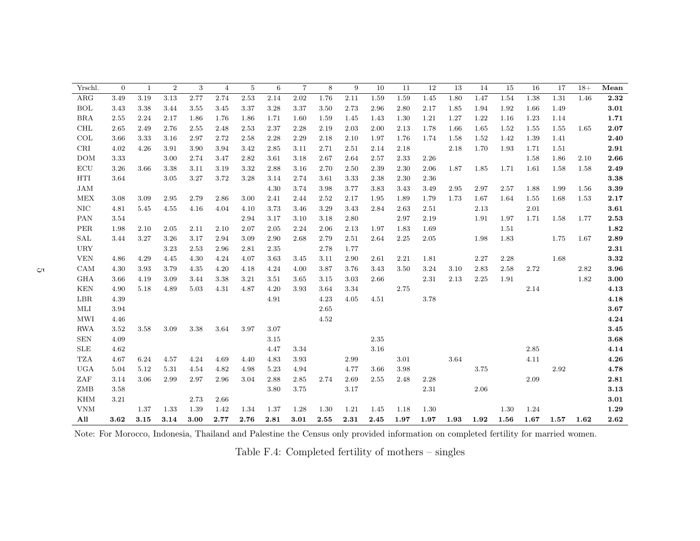| Yrschl.    | $\Omega$ | 1    | $\sqrt{2}$ | 3    | $\overline{4}$ | 5    | 6    | $\overline{7}$ | 8    | 9    | 10   | 11   | 12   | 13   | 14   | 15   | 16   | 17   | $18+$ | Mean       |
|------------|----------|------|------------|------|----------------|------|------|----------------|------|------|------|------|------|------|------|------|------|------|-------|------------|
| $\rm{ARG}$ | 3.49     | 3.19 | 3.13       | 2.77 | 2.74           | 2.53 | 2.14 | 2.02           | 1.76 | 2.11 | 1.59 | 1.59 | 1.45 | 1.80 | 1.47 | 1.54 | 1.38 | 1.31 | 1.46  | 2.32       |
| <b>BOL</b> | 3.43     | 3.38 | 3.44       | 3.55 | 3.45           | 3.37 | 3.28 | 3.37           | 3.50 | 2.73 | 2.96 | 2.80 | 2.17 | 1.85 | 1.94 | 1.92 | 1.66 | 1.49 |       | 3.01       |
| <b>BRA</b> | 2.55     | 2.24 | 2.17       | 1.86 | 1.76           | 1.86 | 1.71 | 1.60           | 1.59 | 1.45 | 1.43 | 1.30 | 1.21 | 1.27 | 1.22 | 1.16 | 1.23 | 1.14 |       | 1.71       |
| CHL        | 2.65     | 2.49 | 2.76       | 2.55 | 2.48           | 2.53 | 2.37 | 2.28           | 2.19 | 2.03 | 2.00 | 2.13 | 1.78 | 1.66 | 1.65 | 1.52 | 1.55 | 1.55 | 1.65  | 2.07       |
| COL        | 3.66     | 3.33 | 3.16       | 2.97 | 2.72           | 2.58 | 2.28 | 2.29           | 2.18 | 2.10 | 1.97 | 1.76 | 1.74 | 1.58 | 1.52 | 1.42 | 1.39 | 1.41 |       | 2.40       |
| CRI        | 4.02     | 4.26 | 3.91       | 3.90 | 3.94           | 3.42 | 2.85 | 3.11           | 2.71 | 2.51 | 2.14 | 2.18 |      | 2.18 | 1.70 | 1.93 | 1.71 | 1.51 |       | 2.91       |
| <b>DOM</b> | 3.33     |      | 3.00       | 2.74 | 3.47           | 2.82 | 3.61 | 3.18           | 2.67 | 2.64 | 2.57 | 2.33 | 2.26 |      |      |      | 1.58 | 1.86 | 2.10  | 2.66       |
| ECU        | 3.26     | 3.66 | 3.38       | 3.11 | 3.19           | 3.32 | 2.88 | 3.16           | 2.70 | 2.50 | 2.39 | 2.30 | 2.06 | 1.87 | 1.85 | 1.71 | 1.61 | 1.58 | 1.58  | 2.49       |
| HTI        | 3.64     |      | 3.05       | 3.27 | 3.72           | 3.28 | 3.14 | 2.74           | 3.61 | 3.33 | 2.38 | 2.30 | 2.36 |      |      |      |      |      |       | $\bf 3.38$ |
| <b>JAM</b> |          |      |            |      |                |      | 4.30 | 3.74           | 3.98 | 3.77 | 3.83 | 3.43 | 3.49 | 2.95 | 2.97 | 2.57 | 1.88 | 1.99 | 1.56  | $\bf 3.39$ |
| <b>MEX</b> | 3.08     | 3.09 | 2.95       | 2.79 | 2.86           | 3.00 | 2.41 | 2.44           | 2.52 | 2.17 | 1.95 | 1.89 | 1.79 | 1.73 | 1.67 | 1.64 | 1.55 | 1.68 | 1.53  | 2.17       |
| NIC        | 4.81     | 5.45 | 4.55       | 4.16 | 4.04           | 4.10 | 3.73 | 3.46           | 3.29 | 3.43 | 2.84 | 2.63 | 2.51 |      | 2.13 |      | 2.01 |      |       | 3.61       |
| <b>PAN</b> | 3.54     |      |            |      |                | 2.94 | 3.17 | 3.10           | 3.18 | 2.80 |      | 2.97 | 2.19 |      | 1.91 | 1.97 | 1.71 | 1.58 | 1.77  | 2.53       |
| PER        | 1.98     | 2.10 | 2.05       | 2.11 | 2.10           | 2.07 | 2.05 | 2.24           | 2.06 | 2.13 | 1.97 | 1.83 | 1.69 |      |      | 1.51 |      |      |       | 1.82       |
| SAL        | 3.44     | 3.27 | 3.26       | 3.17 | 2.94           | 3.09 | 2.90 | 2.68           | 2.79 | 2.51 | 2.64 | 2.25 | 2.05 |      | 1.98 | 1.83 |      | 1.75 | 1.67  | 2.89       |
| <b>URY</b> |          |      | 3.23       | 2.53 | 2.96           | 2.81 | 2.35 |                | 2.78 | 1.77 |      |      |      |      |      |      |      |      |       | 2.31       |
| <b>VEN</b> | 4.86     | 4.29 | 4.45       | 4.30 | 4.24           | 4.07 | 3.63 | 3.45           | 3.11 | 2.90 | 2.61 | 2.21 | 1.81 |      | 2.27 | 2.28 |      | 1.68 |       | 3.32       |
| CAM        | 4.30     | 3.93 | 3.79       | 4.35 | 4.20           | 4.18 | 4.24 | 4.00           | 3.87 | 3.76 | 3.43 | 3.50 | 3.24 | 3.10 | 2.83 | 2.58 | 2.72 |      | 2.82  | 3.96       |
| <b>GHA</b> | 3.66     | 4.19 | 3.09       | 3.44 | 3.38           | 3.21 | 3.51 | 3.65           | 3.15 | 3.03 | 2.66 |      | 2.31 | 2.13 | 2.25 | 1.91 |      |      | 1.82  | 3.00       |
| <b>KEN</b> | 4.90     | 5.18 | 4.89       | 5.03 | 4.31           | 4.87 | 4.20 | 3.93           | 3.64 | 3.34 |      | 2.75 |      |      |      |      | 2.14 |      |       | 4.13       |
| LBR        | 4.39     |      |            |      |                |      | 4.91 |                | 4.23 | 4.05 | 4.51 |      | 3.78 |      |      |      |      |      |       | 4.18       |
| MLI        | 3.94     |      |            |      |                |      |      |                | 2.65 |      |      |      |      |      |      |      |      |      |       | 3.67       |
| <b>MWI</b> | 4.46     |      |            |      |                |      |      |                | 4.52 |      |      |      |      |      |      |      |      |      |       | 4.24       |
| <b>RWA</b> | 3.52     | 3.58 | 3.09       | 3.38 | 3.64           | 3.97 | 3.07 |                |      |      |      |      |      |      |      |      |      |      |       | $\bf 3.45$ |
| <b>SEN</b> | 4.09     |      |            |      |                |      | 3.15 |                |      |      | 2.35 |      |      |      |      |      |      |      |       | 3.68       |
| <b>SLE</b> | 4.62     |      |            |      |                |      | 4.47 | 3.34           |      |      | 3.16 |      |      |      |      |      | 2.85 |      |       | 4.14       |
| <b>TZA</b> | 4.67     | 6.24 | 4.57       | 4.24 | 4.69           | 4.40 | 4.83 | 3.93           |      | 2.99 |      | 3.01 |      | 3.64 |      |      | 4.11 |      |       | 4.26       |
| <b>UGA</b> | 5.04     | 5.12 | 5.31       | 4.54 | 4.82           | 4.98 | 5.23 | 4.94           |      | 4.77 | 3.66 | 3.98 |      |      | 3.75 |      |      | 2.92 |       | 4.78       |
| ZAF        | 3.14     | 3.06 | 2.99       | 2.97 | 2.96           | 3.04 | 2.88 | 2.85           | 2.74 | 2.69 | 2.55 | 2.48 | 2.28 |      |      |      | 2.09 |      |       | 2.81       |
| ZMB        | 3.58     |      |            |      |                |      | 3.80 | 3.75           |      | 3.17 |      |      | 2.31 |      | 2.06 |      |      |      |       | $\bf 3.13$ |
| <b>KHM</b> | 3.21     |      |            | 2.73 | 2.66           |      |      |                |      |      |      |      |      |      |      |      |      |      |       | 3.01       |
| <b>VNM</b> |          | 1.37 | 1.33       | 1.39 | 1.42           | 1.34 | 1.37 | 1.28           | 1.30 | 1.21 | 1.45 | 1.18 | 1.30 |      |      | 1.30 | 1.24 |      |       | 1.29       |
| All        | 3.62     | 3.15 | 3.14       | 3.00 | 2.77           | 2.76 | 2.81 | 3.01           | 2.55 | 2.31 | 2.45 | 1.97 | 1.97 | 1.93 | 1.92 | 1.56 | 1.67 | 1.57 | 1.62  | 2.62       |

Note: For Morocco, Indonesia, Thailand and Palestine the Census only provided information on completed fertility for married women.

Table F.4: Completed fertility of mothers – singles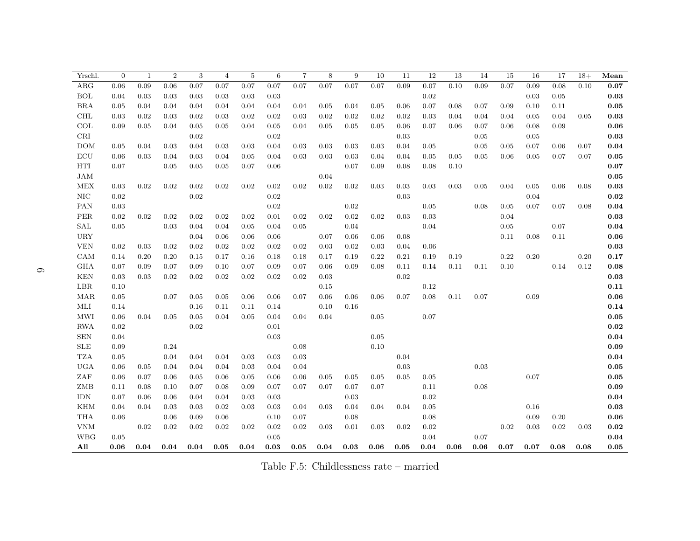| Yrschl.              | $\overline{0}$ | 1    | $\overline{2}$ | $\sqrt{3}$ | $\overline{4}$ | 5    | 6    | $\overline{7}$ | 8    | 9    | 10   | 11   | 12         | 13         | 14   | 15   | 16   | 17   | $18+$ | Mean                |
|----------------------|----------------|------|----------------|------------|----------------|------|------|----------------|------|------|------|------|------------|------------|------|------|------|------|-------|---------------------|
| ARG                  | 0.06           | 0.09 | 0.06           | 0.07       | 0.07           | 0.07 | 0.07 | 0.07           | 0.07 | 0.07 | 0.07 | 0.09 | 0.07       | 0.10       | 0.09 | 0.07 | 0.09 | 0.08 | 0.10  | 0.07                |
| <b>BOL</b>           | 0.04           | 0.03 | 0.03           | 0.03       | 0.03           | 0.03 | 0.03 |                |      |      |      |      | 0.02       |            |      |      | 0.03 | 0.05 |       | 0.03                |
| <b>BRA</b>           | 0.05           | 0.04 | 0.04           | 0.04       | 0.04           | 0.04 | 0.04 | 0.04           | 0.05 | 0.04 | 0.05 | 0.06 | 0.07       | 0.08       | 0.07 | 0.09 | 0.10 | 0.11 |       | 0.05                |
| <b>CHL</b>           | 0.03           | 0.02 | 0.03           | 0.02       | 0.03           | 0.02 | 0.02 | 0.03           | 0.02 | 0.02 | 0.02 | 0.02 | 0.03       | 0.04       | 0.04 | 0.04 | 0.05 | 0.04 | 0.05  | 0.03                |
| COL                  | 0.09           | 0.05 | 0.04           | 0.05       | 0.05           | 0.04 | 0.05 | 0.04           | 0.05 | 0.05 | 0.05 | 0.06 | 0.07       | 0.06       | 0.07 | 0.06 | 0.08 | 0.09 |       | 0.06                |
| CRI                  |                |      |                | 0.02       |                |      | 0.02 |                |      |      |      | 0.03 |            |            | 0.05 |      | 0.05 |      |       | 0.03                |
| <b>DOM</b>           | 0.05           | 0.04 | 0.03           | 0.04       | 0.03           | 0.03 | 0.04 | 0.03           | 0.03 | 0.03 | 0.03 | 0.04 | 0.05       |            | 0.05 | 0.05 | 0.07 | 0.06 | 0.07  | $\bf 0.04$          |
| $\operatorname{ECU}$ | 0.06           | 0.03 | 0.04           | 0.03       | 0.04           | 0.05 | 0.04 | 0.03           | 0.03 | 0.03 | 0.04 | 0.04 | 0.05       | $\rm 0.05$ | 0.05 | 0.06 | 0.05 | 0.07 | 0.07  | $\bf 0.05$          |
| HTI                  | 0.07           |      | 0.05           | 0.05       | 0.05           | 0.07 | 0.06 |                |      | 0.07 | 0.09 | 0.08 | 0.08       | 0.10       |      |      |      |      |       | 0.07                |
| <b>JAM</b>           |                |      |                |            |                |      |      |                | 0.04 |      |      |      |            |            |      |      |      |      |       | 0.05                |
| MEX                  | 0.03           | 0.02 | 0.02           | 0.02       | 0.02           | 0.02 | 0.02 | 0.02           | 0.02 | 0.02 | 0.03 | 0.03 | 0.03       | 0.03       | 0.05 | 0.04 | 0.05 | 0.06 | 0.08  | $\boldsymbol{0.03}$ |
| NIC                  | 0.02           |      |                | 0.02       |                |      | 0.02 |                |      |      |      | 0.03 |            |            |      |      | 0.04 |      |       | $\bf 0.02$          |
| PAN                  | 0.03           |      |                |            |                |      | 0.02 |                |      | 0.02 |      |      | 0.05       |            | 0.08 | 0.05 | 0.07 | 0.07 | 0.08  | $\bf 0.04$          |
| PER                  | 0.02           | 0.02 | 0.02           | 0.02       | 0.02           | 0.02 | 0.01 | 0.02           | 0.02 | 0.02 | 0.02 | 0.03 | 0.03       |            |      | 0.04 |      |      |       | $\bf 0.03$          |
| $\operatorname{SAL}$ | 0.05           |      | 0.03           | 0.04       | 0.04           | 0.05 | 0.04 | 0.05           |      | 0.04 |      |      | 0.04       |            |      | 0.05 |      | 0.07 |       | $\bf 0.04$          |
| <b>URY</b>           |                |      |                | 0.04       | 0.06           | 0.06 | 0.06 |                | 0.07 | 0.06 | 0.06 | 0.08 |            |            |      | 0.11 | 0.08 | 0.11 |       | $\boldsymbol{0.06}$ |
| <b>VEN</b>           | 0.02           | 0.03 | 0.02           | 0.02       | 0.02           | 0.02 | 0.02 | 0.02           | 0.03 | 0.02 | 0.03 | 0.04 | 0.06       |            |      |      |      |      |       | 0.03                |
| CAM                  | 0.14           | 0.20 | 0.20           | 0.15       | 0.17           | 0.16 | 0.18 | 0.18           | 0.17 | 0.19 | 0.22 | 0.21 | 0.19       | 0.19       |      | 0.22 | 0.20 |      | 0.20  | 0.17                |
| <b>GHA</b>           | 0.07           | 0.09 | 0.07           | 0.09       | 0.10           | 0.07 | 0.09 | 0.07           | 0.06 | 0.09 | 0.08 | 0.11 | 0.14       | 0.11       | 0.11 | 0.10 |      | 0.14 | 0.12  | 0.08                |
| <b>KEN</b>           | 0.03           | 0.03 | 0.02           | 0.02       | 0.02           | 0.02 | 0.02 | 0.02           | 0.03 |      |      | 0.02 |            |            |      |      |      |      |       | 0.03                |
| LBR                  | 0.10           |      |                |            |                |      |      |                | 0.15 |      |      |      | 0.12       |            |      |      |      |      |       | 0.11                |
| MAR                  | 0.05           |      | 0.07           | 0.05       | 0.05           | 0.06 | 0.06 | 0.07           | 0.06 | 0.06 | 0.06 | 0.07 | 0.08       | 0.11       | 0.07 |      | 0.09 |      |       | $\boldsymbol{0.06}$ |
| MLI                  | 0.14           |      |                | 0.16       | 0.11           | 0.11 | 0.14 |                | 0.10 | 0.16 |      |      |            |            |      |      |      |      |       | 0.14                |
| <b>MWI</b>           | 0.06           | 0.04 | 0.05           | 0.05       | 0.04           | 0.05 | 0.04 | 0.04           | 0.04 |      | 0.05 |      | 0.07       |            |      |      |      |      |       | 0.05                |
| <b>RWA</b>           | 0.02           |      |                | 0.02       |                |      | 0.01 |                |      |      |      |      |            |            |      |      |      |      |       | 0.02                |
| <b>SEN</b>           | 0.04           |      |                |            |                |      | 0.03 |                |      |      | 0.05 |      |            |            |      |      |      |      |       | 0.04                |
| <b>SLE</b>           | 0.09           |      | 0.24           |            |                |      |      | 0.08           |      |      | 0.10 |      |            |            |      |      |      |      |       | 0.09                |
| <b>TZA</b>           | 0.05           |      | 0.04           | 0.04       | 0.04           | 0.03 | 0.03 | 0.03           |      |      |      | 0.04 |            |            |      |      |      |      |       | 0.04                |
| <b>UGA</b>           | 0.06           | 0.05 | 0.04           | 0.04       | 0.04           | 0.03 | 0.04 | 0.04           |      |      |      | 0.03 |            |            | 0.03 |      |      |      |       | 0.05                |
| ZAF                  | 0.06           | 0.07 | 0.06           | 0.05       | 0.06           | 0.05 | 0.06 | 0.06           | 0.05 | 0.05 | 0.05 | 0.05 | $\,0.05\,$ |            |      |      | 0.07 |      |       | $\boldsymbol{0.05}$ |
| ZMB                  | 0.11           | 0.08 | 0.10           | 0.07       | 0.08           | 0.09 | 0.07 | 0.07           | 0.07 | 0.07 | 0.07 |      | 0.11       |            | 0.08 |      |      |      |       | $\boldsymbol{0.09}$ |
| <b>IDN</b>           | 0.07           | 0.06 | 0.06           | 0.04       | 0.04           | 0.03 | 0.03 |                |      | 0.03 |      |      | 0.02       |            |      |      |      |      |       | 0.04                |
| <b>KHM</b>           | 0.04           | 0.04 | 0.03           | 0.03       | 0.02           | 0.03 | 0.03 | 0.04           | 0.03 | 0.04 | 0.04 | 0.04 | 0.05       |            |      |      | 0.16 |      |       | 0.03                |
| <b>THA</b>           | 0.06           |      | 0.06           | 0.09       | 0.06           |      | 0.10 | 0.07           |      | 0.08 |      |      | 0.08       |            |      |      | 0.09 | 0.20 |       | 0.06                |
| <b>VNM</b>           |                | 0.02 | 0.02           | 0.02       | 0.02           | 0.02 | 0.02 | 0.02           | 0.03 | 0.01 | 0.03 | 0.02 | 0.02       |            |      | 0.02 | 0.03 | 0.02 | 0.03  | 0.02                |
| <b>WBG</b>           | 0.05           |      |                |            |                |      | 0.05 |                |      |      |      |      | 0.04       |            | 0.07 |      |      |      |       | 0.04                |
| All                  | 0.06           | 0.04 | 0.04           | 0.04       | 0.05           | 0.04 | 0.03 | 0.05           | 0.04 | 0.03 | 0.06 | 0.05 | 0.04       | 0.06       | 0.06 | 0.07 | 0.07 | 0.08 | 0.08  | 0.05                |

Table F.5: Childlessness rate – married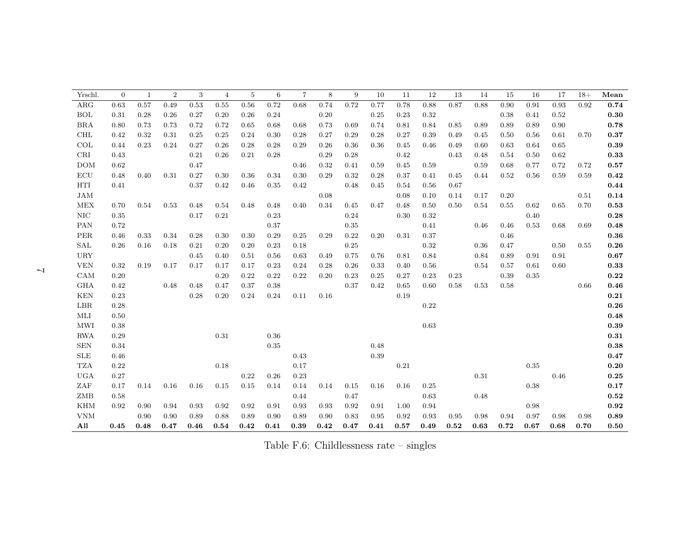| Yrschl.    | $\overline{0}$ | $\mathbf{1}$ | $\overline{2}$ | 3    | 4    | 5    | 6        | $\overline{7}$ | 8    | 9    | 10   | 11   | 12   | 13   | 14   | 15   | 16   | 17   | $18+$ | Mean       |
|------------|----------------|--------------|----------------|------|------|------|----------|----------------|------|------|------|------|------|------|------|------|------|------|-------|------------|
| $\rm{ARG}$ | 0.63           | 0.57         | 0.49           | 0.53 | 0.55 | 0.56 | 0.72     | 0.68           | 0.74 | 0.72 | 0.77 | 0.78 | 0.88 | 0.87 | 0.88 | 0.90 | 0.91 | 0.93 | 0.92  | 0.74       |
| <b>BOL</b> | 0.31           | 0.28         | 0.26           | 0.27 | 0.20 | 0.26 | 0.24     |                | 0.20 |      | 0.25 | 0.23 | 0.32 |      |      | 0.38 | 0.41 | 0.52 |       | 0.30       |
| <b>BRA</b> | 0.80           | 0.73         | 0.73           | 0.72 | 0.72 | 0.65 | 0.68     | 0.68           | 0.73 | 0.69 | 0.74 | 0.81 | 0.84 | 0.85 | 0.89 | 0.89 | 0.89 | 0.90 |       | 0.78       |
| <b>CHL</b> | 0.42           | 0.32         | 0.31           | 0.25 | 0.25 | 0.24 | 0.30     | 0.28           | 0.27 | 0.29 | 0.28 | 0.27 | 0.39 | 0.49 | 0.45 | 0.50 | 0.56 | 0.61 | 0.70  | 0.37       |
| COL        | 0.44           | 0.23         | 0.24           | 0.27 | 0.26 | 0.28 | 0.28     | 0.29           | 0.26 | 0.36 | 0.36 | 0.45 | 0.46 | 0.49 | 0.60 | 0.63 | 0.64 | 0.65 |       | 0.39       |
| CRI        | 0.43           |              |                | 0.21 | 0.26 | 0.21 | 0.28     |                | 0.29 | 0.28 |      | 0.42 |      | 0.43 | 0.48 | 0.54 | 0.50 | 0.62 |       | 0.33       |
| <b>DOM</b> | 0.62           |              |                | 0.47 |      |      |          | 0.46           | 0.32 | 0.41 | 0.59 | 0.45 | 0.59 |      | 0.59 | 0.68 | 0.77 | 0.72 | 0.72  | 0.57       |
| ECU        | 0.48           | 0.40         | 0.31           | 0.27 | 0.30 | 0.36 | 0.34     | 0.30           | 0.29 | 0.32 | 0.28 | 0.37 | 0.41 | 0.45 | 0.44 | 0.52 | 0.56 | 0.59 | 0.59  | 0.42       |
| HTI        | 0.41           |              |                | 0.37 | 0.42 | 0.46 | 0.35     | 0.42           |      | 0.48 | 0.45 | 0.54 | 0.56 | 0.67 |      |      |      |      |       | 0.44       |
| <b>JAM</b> |                |              |                |      |      |      |          |                | 0.08 |      |      | 0.08 | 0.10 | 0.14 | 0.17 | 0.20 |      |      | 0.51  | 0.14       |
| <b>MEX</b> | 0.70           | 0.54         | 0.53           | 0.48 | 0.54 | 0.48 | 0.48     | 0.40           | 0.34 | 0.45 | 0.47 | 0.48 | 0.50 | 0.50 | 0.54 | 0.55 | 0.62 | 0.65 | 0.70  | 0.53       |
| NIC        | 0.35           |              |                | 0.17 | 0.21 |      | 0.23     |                |      | 0.24 |      | 0.30 | 0.32 |      |      |      | 0.40 |      |       | 0.28       |
| PAN        | 0.72           |              |                |      |      |      | 0.37     |                |      | 0.35 |      |      | 0.41 |      | 0.46 | 0.46 | 0.53 | 0.68 | 0.69  | 0.48       |
| PER        | 0.46           | 0.33         | 0.34           | 0.28 | 0.30 | 0.30 | 0.29     | 0.25           | 0.29 | 0.22 | 0.20 | 0.31 | 0.37 |      |      | 0.46 |      |      |       | 0.36       |
| SAL        | 0.26           | 0.16         | 0.18           | 0.21 | 0.20 | 0.20 | 0.23     | 0.18           |      | 0.25 |      |      | 0.32 |      | 0.36 | 0.47 |      | 0.50 | 0.55  | 0.26       |
| <b>URY</b> |                |              |                | 0.45 | 0.40 | 0.51 | 0.56     | 0.63           | 0.49 | 0.75 | 0.76 | 0.81 | 0.84 |      | 0.84 | 0.89 | 0.91 | 0.91 |       | 0.67       |
| <b>VEN</b> | 0.32           | 0.19         | 0.17           | 0.17 | 0.17 | 0.17 | 0.23     | 0.24           | 0.28 | 0.26 | 0.33 | 0.40 | 0.56 |      | 0.54 | 0.57 | 0.61 | 0.60 |       | 0.33       |
| CAM        | 0.20           |              |                |      | 0.20 | 0.22 | 0.22     | 0.22           | 0.20 | 0.23 | 0.25 | 0.27 | 0.23 | 0.23 |      | 0.39 | 0.35 |      |       | 0.22       |
| <b>GHA</b> | 0.42           |              | 0.48           | 0.48 | 0.47 | 0.37 | 0.38     |                |      | 0.37 | 0.42 | 0.65 | 0.60 | 0.58 | 0.53 | 0.58 |      |      | 0.66  | 0.46       |
| <b>KEN</b> | 0.23           |              |                | 0.28 | 0.20 | 0.24 | 0.24     | 0.11           | 0.16 |      |      | 0.19 |      |      |      |      |      |      |       | 0.21       |
| LBR        | 0.28           |              |                |      |      |      |          |                |      |      |      |      | 0.22 |      |      |      |      |      |       | 0.26       |
| MLI        | 0.50           |              |                |      |      |      |          |                |      |      |      |      |      |      |      |      |      |      |       | 0.48       |
| <b>MWI</b> | 0.38           |              |                |      |      |      |          |                |      |      |      |      | 0.63 |      |      |      |      |      |       | 0.39       |
| <b>RWA</b> | 0.29           |              |                |      | 0.31 |      | $0.36\,$ |                |      |      |      |      |      |      |      |      |      |      |       | 0.31       |
| <b>SEN</b> | 0.34           |              |                |      |      |      | 0.35     |                |      |      | 0.48 |      |      |      |      |      |      |      |       | 0.38       |
| <b>SLE</b> | 0.46           |              |                |      |      |      |          | 0.43           |      |      | 0.39 |      |      |      |      |      |      |      |       | 0.47       |
| <b>TZA</b> | 0.22           |              |                |      | 0.18 |      |          | 0.17           |      |      |      | 0.21 |      |      |      |      | 0.35 |      |       | 0.20       |
| <b>UGA</b> | 0.27           |              |                |      |      | 0.22 | 0.26     | 0.23           |      |      |      |      |      |      | 0.31 |      |      | 0.46 |       | 0.25       |
| ZAF        | 0.17           | 0.14         | 0.16           | 0.16 | 0.15 | 0.15 | 0.14     | 0.14           | 0.14 | 0.15 | 0.16 | 0.16 | 0.25 |      |      |      | 0.38 |      |       | 0.17       |
| ZMB        | 0.58           |              |                |      |      |      |          | 0.44           |      | 0.47 |      |      | 0.63 |      | 0.48 |      |      |      |       | $\bf 0.52$ |
| <b>KHM</b> | 0.92           | 0.90         | 0.94           | 0.93 | 0.92 | 0.92 | 0.91     | 0.93           | 0.93 | 0.92 | 0.91 | 1.00 | 0.94 |      |      |      | 0.98 |      |       | 0.92       |
| <b>VNM</b> |                | 0.90         | 0.90           | 0.89 | 0.88 | 0.89 | 0.90     | 0.89           | 0.90 | 0.83 | 0.95 | 0.92 | 0.93 | 0.95 | 0.98 | 0.94 | 0.97 | 0.98 | 0.98  | 0.89       |
| All        | 0.45           | 0.48         | 0.47           | 0.46 | 0.54 | 0.42 | 0.41     | 0.39           | 0.42 | 0.47 | 0.41 | 0.57 | 0.49 | 0.52 | 0.63 | 0.72 | 0.67 | 0.68 | 0.70  | 0.50       |

Table F.6: Childlessness rate – singles

 $\overline{\phantom{a}}$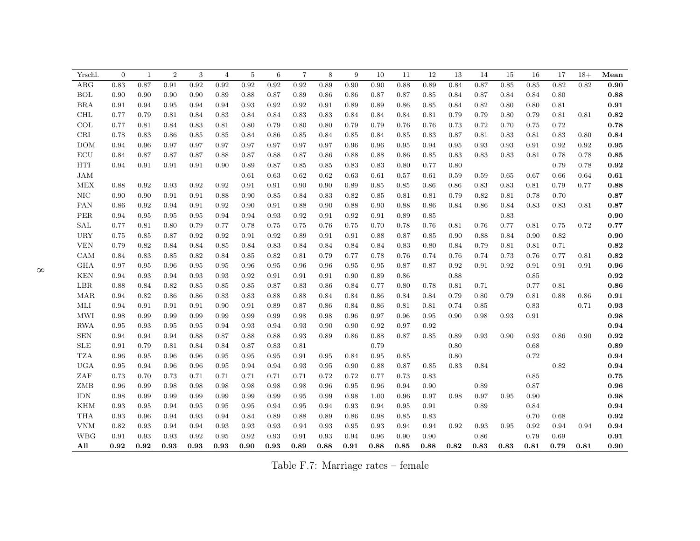| Yrschl.              | $\Omega$ | $\mathbf{1}$ | $\overline{2}$ | 3    | $\overline{4}$ | $\bf 5$ | 6    | $\overline{7}$ | 8    | 9    | 10   | 11   | 12   | 13   | 14         | 15   | 16         | 17       | $18+$    | Mean                |
|----------------------|----------|--------------|----------------|------|----------------|---------|------|----------------|------|------|------|------|------|------|------------|------|------------|----------|----------|---------------------|
| ARG                  | 0.83     | 0.87         | 0.91           | 0.92 | 0.92           | 0.92    | 0.92 | 0.92           | 0.89 | 0.90 | 0.90 | 0.88 | 0.89 | 0.84 | 0.87       | 0.85 | 0.85       | 0.82     | 0.82     | 0.90                |
| <b>BOL</b>           | 0.90     | 0.90         | 0.90           | 0.90 | 0.89           | 0.88    | 0.87 | 0.89           | 0.86 | 0.86 | 0.87 | 0.87 | 0.85 | 0.84 | 0.87       | 0.84 | 0.84       | 0.80     |          | $\bf 0.88$          |
| <b>BRA</b>           | 0.91     | 0.94         | 0.95           | 0.94 | 0.94           | 0.93    | 0.92 | 0.92           | 0.91 | 0.89 | 0.89 | 0.86 | 0.85 | 0.84 | 0.82       | 0.80 | 0.80       | 0.81     |          | 0.91                |
| <b>CHL</b>           | 0.77     | 0.79         | 0.81           | 0.84 | 0.83           | 0.84    | 0.84 | 0.83           | 0.83 | 0.84 | 0.84 | 0.84 | 0.81 | 0.79 | 0.79       | 0.80 | 0.79       | 0.81     | 0.81     | 0.82                |
| COL                  | 0.77     | 0.81         | 0.84           | 0.83 | 0.81           | 0.80    | 0.79 | 0.80           | 0.80 | 0.79 | 0.79 | 0.76 | 0.76 | 0.73 | 0.72       | 0.70 | 0.75       | 0.72     |          | 0.78                |
| $\mbox{CRI}$         | 0.78     | 0.83         | 0.86           | 0.85 | 0.85           | 0.84    | 0.86 | 0.85           | 0.84 | 0.85 | 0.84 | 0.85 | 0.83 | 0.87 | 0.81       | 0.83 | 0.81       | 0.83     | $0.80\,$ | $\bf 0.84$          |
| <b>DOM</b>           | 0.94     | 0.96         | 0.97           | 0.97 | 0.97           | 0.97    | 0.97 | 0.97           | 0.97 | 0.96 | 0.96 | 0.95 | 0.94 | 0.95 | 0.93       | 0.93 | 0.91       | 0.92     | 0.92     | $\bf 0.95$          |
| $\operatorname{ECU}$ | 0.84     | 0.87         | 0.87           | 0.87 | 0.88           | 0.87    | 0.88 | 0.87           | 0.86 | 0.88 | 0.88 | 0.86 | 0.85 | 0.83 | 0.83       | 0.83 | 0.81       | 0.78     | 0.78     | 0.85                |
| HTI                  | 0.94     | 0.91         | 0.91           | 0.91 | 0.90           | 0.89    | 0.87 | 0.85           | 0.85 | 0.83 | 0.83 | 0.80 | 0.77 | 0.80 |            |      |            | 0.79     | 0.78     | $\bf 0.92$          |
| <b>JAM</b>           |          |              |                |      |                | 0.61    | 0.63 | 0.62           | 0.62 | 0.63 | 0.61 | 0.57 | 0.61 | 0.59 | 0.59       | 0.65 | 0.67       | 0.66     | 0.64     | $\bf 0.61$          |
| <b>MEX</b>           | 0.88     | 0.92         | 0.93           | 0.92 | 0.92           | 0.91    | 0.91 | 0.90           | 0.90 | 0.89 | 0.85 | 0.85 | 0.86 | 0.86 | 0.83       | 0.83 | 0.81       | 0.79     | 0.77     | 0.88                |
| $\rm NIC$            | 0.90     | 0.90         | 0.91           | 0.91 | 0.88           | 0.90    | 0.85 | 0.84           | 0.83 | 0.82 | 0.85 | 0.81 | 0.81 | 0.79 | 0.82       | 0.81 | 0.78       | 0.70     |          | 0.87                |
| PAN                  | 0.86     | 0.92         | 0.94           | 0.91 | 0.92           | 0.90    | 0.91 | 0.88           | 0.90 | 0.88 | 0.90 | 0.88 | 0.86 | 0.84 | 0.86       | 0.84 | 0.83       | 0.83     | 0.81     | 0.87                |
| PER                  | 0.94     | 0.95         | 0.95           | 0.95 | 0.94           | 0.94    | 0.93 | 0.92           | 0.91 | 0.92 | 0.91 | 0.89 | 0.85 |      |            | 0.83 |            |          |          | $\boldsymbol{0.90}$ |
| SAL                  | 0.77     | 0.81         | 0.80           | 0.79 | 0.77           | 0.78    | 0.75 | 0.75           | 0.76 | 0.75 | 0.70 | 0.78 | 0.76 | 0.81 | 0.76       | 0.77 | 0.81       | $0.75\,$ | 0.72     | 0.77                |
| <b>URY</b>           | 0.75     | 0.85         | 0.87           | 0.92 | 0.92           | 0.91    | 0.92 | 0.89           | 0.91 | 0.91 | 0.88 | 0.87 | 0.85 | 0.90 | 0.88       | 0.84 | 0.90       | 0.82     |          | 0.90                |
| <b>VEN</b>           | 0.79     | 0.82         | 0.84           | 0.84 | 0.85           | 0.84    | 0.83 | 0.84           | 0.84 | 0.84 | 0.84 | 0.83 | 0.80 | 0.84 | 0.79       | 0.81 | 0.81       | 0.71     |          | $\bf 0.82$          |
| CAM                  | 0.84     | 0.83         | 0.85           | 0.82 | 0.84           | 0.85    | 0.82 | 0.81           | 0.79 | 0.77 | 0.78 | 0.76 | 0.74 | 0.76 | 0.74       | 0.73 | 0.76       | 0.77     | 0.81     | $\bf 0.82$          |
| <b>GHA</b>           | 0.97     | 0.95         | 0.96           | 0.95 | 0.95           | 0.96    | 0.95 | 0.96           | 0.96 | 0.95 | 0.95 | 0.87 | 0.87 | 0.92 | 0.91       | 0.92 | 0.91       | 0.91     | 0.91     | 0.96                |
| <b>KEN</b>           | 0.94     | 0.93         | 0.94           | 0.93 | 0.93           | 0.92    | 0.91 | 0.91           | 0.91 | 0.90 | 0.89 | 0.86 |      | 0.88 |            |      | 0.85       |          |          | 0.92                |
| LBR                  | 0.88     | 0.84         | 0.82           | 0.85 | 0.85           | 0.85    | 0.87 | 0.83           | 0.86 | 0.84 | 0.77 | 0.80 | 0.78 | 0.81 | 0.71       |      | 0.77       | 0.81     |          | $\bf 0.86$          |
| MAR                  | 0.94     | 0.82         | 0.86           | 0.86 | 0.83           | 0.83    | 0.88 | 0.88           | 0.84 | 0.84 | 0.86 | 0.84 | 0.84 | 0.79 | 0.80       | 0.79 | $\rm 0.81$ | 0.88     | 0.86     | $\bf 0.91$          |
| MLI                  | 0.94     | 0.91         | 0.91           | 0.91 | 0.90           | 0.91    | 0.89 | 0.87           | 0.86 | 0.84 | 0.86 | 0.81 | 0.81 | 0.74 | $\rm 0.85$ |      | $0.83\,$   |          | 0.71     | $\bf 0.93$          |
| <b>MWI</b>           | 0.98     | 0.99         | 0.99           | 0.99 | 0.99           | 0.99    | 0.99 | 0.98           | 0.98 | 0.96 | 0.97 | 0.96 | 0.95 | 0.90 | 0.98       | 0.93 | 0.91       |          |          | 0.98                |
| <b>RWA</b>           | 0.95     | 0.93         | 0.95           | 0.95 | 0.94           | 0.93    | 0.94 | 0.93           | 0.90 | 0.90 | 0.92 | 0.97 | 0.92 |      |            |      |            |          |          | 0.94                |
| <b>SEN</b>           | 0.94     | 0.94         | 0.94           | 0.88 | 0.87           | 0.88    | 0.88 | 0.93           | 0.89 | 0.86 | 0.88 | 0.87 | 0.85 | 0.89 | 0.93       | 0.90 | 0.93       | 0.86     | 0.90     | 0.92                |
| ${\rm SLE}$          | 0.91     | 0.79         | 0.81           | 0.84 | 0.84           | 0.87    | 0.83 | 0.81           |      |      | 0.79 |      |      | 0.80 |            |      | 0.68       |          |          | 0.89                |
| <b>TZA</b>           | 0.96     | 0.95         | 0.96           | 0.96 | 0.95           | 0.95    | 0.95 | 0.91           | 0.95 | 0.84 | 0.95 | 0.85 |      | 0.80 |            |      | 0.72       |          |          | $\bf 0.94$          |
| <b>UGA</b>           | 0.95     | 0.94         | 0.96           | 0.96 | 0.95           | 0.94    | 0.94 | 0.93           | 0.95 | 0.90 | 0.88 | 0.87 | 0.85 | 0.83 | 0.84       |      |            | 0.82     |          | 0.94                |
| ZAF                  | 0.73     | 0.70         | 0.73           | 0.71 | 0.71           | 0.71    | 0.71 | 0.71           | 0.72 | 0.72 | 0.77 | 0.73 | 0.83 |      |            |      | $0.85\,$   |          |          | $\bf 0.75$          |
| ZMB                  | 0.96     | 0.99         | 0.98           | 0.98 | 0.98           | 0.98    | 0.98 | 0.98           | 0.96 | 0.95 | 0.96 | 0.94 | 0.90 |      | 0.89       |      | 0.87       |          |          | $\bf 0.96$          |
| <b>IDN</b>           | 0.98     | 0.99         | 0.99           | 0.99 | 0.99           | 0.99    | 0.99 | 0.95           | 0.99 | 0.98 | 1.00 | 0.96 | 0.97 | 0.98 | 0.97       | 0.95 | 0.90       |          |          | $\bf 0.98$          |
| <b>KHM</b>           | 0.93     | 0.95         | 0.94           | 0.95 | 0.95           | 0.95    | 0.94 | 0.95           | 0.94 | 0.93 | 0.94 | 0.95 | 0.91 |      | 0.89       |      | 0.84       |          |          | 0.94                |
| <b>THA</b>           | 0.93     | 0.96         | 0.94           | 0.93 | 0.94           | 0.84    | 0.89 | 0.88           | 0.89 | 0.86 | 0.98 | 0.85 | 0.83 |      |            |      | 0.70       | 0.68     |          | $\bf 0.92$          |
| <b>VNM</b>           | 0.82     | 0.93         | 0.94           | 0.94 | 0.93           | 0.93    | 0.93 | 0.94           | 0.93 | 0.95 | 0.93 | 0.94 | 0.94 | 0.92 | 0.93       | 0.95 | 0.92       | 0.94     | 0.94     | 0.94                |
| <b>WBG</b>           | 0.91     | 0.93         | 0.93           | 0.92 | 0.95           | 0.92    | 0.93 | 0.91           | 0.93 | 0.94 | 0.96 | 0.90 | 0.90 |      | 0.86       |      | 0.79       | 0.69     |          | $\bf 0.91$          |
| All                  | 0.92     | 0.92         | 0.93           | 0.93 | 0.93           | 0.90    | 0.93 | 0.89           | 0.88 | 0.91 | 0.88 | 0.85 | 0.88 | 0.82 | 0.83       | 0.83 | 0.81       | 0.79     | 0.81     | 0.90                |

Table F.7: Marriage rates – female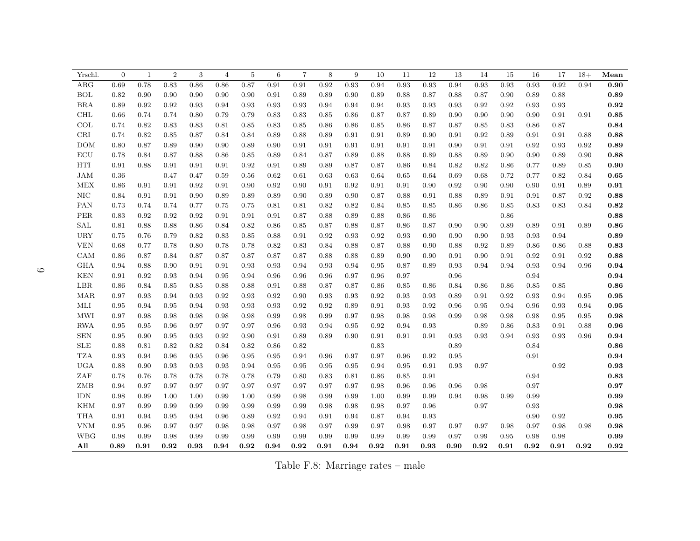| Yrschl.              | $\overline{0}$ | $\mathbf{1}$ | $\overline{2}$ | 3    | $\overline{4}$ | 5    | 6    | $\overline{7}$ | 8    | 9    | 10   | 11   | 12   | 13   | 14   | 15         | 16   | 17         | $18+$ | Mean       |
|----------------------|----------------|--------------|----------------|------|----------------|------|------|----------------|------|------|------|------|------|------|------|------------|------|------------|-------|------------|
| $\rm{ARG}$           | 0.69           | 0.78         | 0.83           | 0.86 | 0.86           | 0.87 | 0.91 | 0.91           | 0.92 | 0.93 | 0.94 | 0.93 | 0.93 | 0.94 | 0.93 | 0.93       | 0.93 | 0.92       | 0.94  | 0.90       |
| <b>BOL</b>           | 0.82           | 0.90         | 0.90           | 0.90 | 0.90           | 0.90 | 0.91 | 0.89           | 0.89 | 0.90 | 0.89 | 0.88 | 0.87 | 0.88 | 0.87 | 0.90       | 0.89 | 0.88       |       | 0.89       |
| <b>BRA</b>           | 0.89           | 0.92         | 0.92           | 0.93 | 0.94           | 0.93 | 0.93 | 0.93           | 0.94 | 0.94 | 0.94 | 0.93 | 0.93 | 0.93 | 0.92 | 0.92       | 0.93 | 0.93       |       | $\bf 0.92$ |
| <b>CHL</b>           | 0.66           | 0.74         | 0.74           | 0.80 | 0.79           | 0.79 | 0.83 | 0.83           | 0.85 | 0.86 | 0.87 | 0.87 | 0.89 | 0.90 | 0.90 | 0.90       | 0.90 | 0.91       | 0.91  | $\bf 0.85$ |
| COL                  | 0.74           | 0.82         | 0.83           | 0.83 | 0.81           | 0.85 | 0.83 | 0.85           | 0.86 | 0.86 | 0.85 | 0.86 | 0.87 | 0.87 | 0.85 | 0.83       | 0.86 | 0.87       |       | 0.84       |
| CRI                  | 0.74           | 0.82         | 0.85           | 0.87 | 0.84           | 0.84 | 0.89 | 0.88           | 0.89 | 0.91 | 0.91 | 0.89 | 0.90 | 0.91 | 0.92 | 0.89       | 0.91 | 0.91       | 0.88  | 0.88       |
| <b>DOM</b>           | 0.80           | 0.87         | 0.89           | 0.90 | 0.90           | 0.89 | 0.90 | 0.91           | 0.91 | 0.91 | 0.91 | 0.91 | 0.91 | 0.90 | 0.91 | 0.91       | 0.92 | 0.93       | 0.92  | 0.89       |
| $\operatorname{ECU}$ | 0.78           | 0.84         | 0.87           | 0.88 | 0.86           | 0.85 | 0.89 | 0.84           | 0.87 | 0.89 | 0.88 | 0.88 | 0.89 | 0.88 | 0.89 | 0.90       | 0.90 | 0.89       | 0.90  | 0.88       |
| $\operatorname{HTI}$ | 0.91           | 0.88         | 0.91           | 0.91 | 0.91           | 0.92 | 0.91 | 0.89           | 0.89 | 0.87 | 0.87 | 0.86 | 0.84 | 0.82 | 0.82 | 0.86       | 0.77 | 0.89       | 0.85  | 0.90       |
| $_{\rm JAM}$         | 0.36           |              | 0.47           | 0.47 | 0.59           | 0.56 | 0.62 | 0.61           | 0.63 | 0.63 | 0.64 | 0.65 | 0.64 | 0.69 | 0.68 | 0.72       | 0.77 | 0.82       | 0.84  | $\bf 0.65$ |
| <b>MEX</b>           | 0.86           | 0.91         | 0.91           | 0.92 | 0.91           | 0.90 | 0.92 | 0.90           | 0.91 | 0.92 | 0.91 | 0.91 | 0.90 | 0.92 | 0.90 | 0.90       | 0.90 | 0.91       | 0.89  | $\bf 0.91$ |
| $\rm NIC$            | 0.84           | 0.91         | 0.91           | 0.90 | 0.89           | 0.89 | 0.89 | 0.90           | 0.89 | 0.90 | 0.87 | 0.88 | 0.91 | 0.88 | 0.89 | 0.91       | 0.91 | 0.87       | 0.92  | 0.88       |
| PAN                  | 0.73           | 0.74         | 0.74           | 0.77 | 0.75           | 0.75 | 0.81 | 0.81           | 0.82 | 0.82 | 0.84 | 0.85 | 0.85 | 0.86 | 0.86 | $\rm 0.85$ | 0.83 | 0.83       | 0.84  | $\bf 0.82$ |
| PER                  | 0.83           | 0.92         | 0.92           | 0.92 | 0.91           | 0.91 | 0.91 | 0.87           | 0.88 | 0.89 | 0.88 | 0.86 | 0.86 |      |      | 0.86       |      |            |       | 0.88       |
| $\operatorname{SAL}$ | 0.81           | 0.88         | 0.88           | 0.86 | 0.84           | 0.82 | 0.86 | 0.85           | 0.87 | 0.88 | 0.87 | 0.86 | 0.87 | 0.90 | 0.90 | 0.89       | 0.89 | 0.91       | 0.89  | 0.86       |
| <b>URY</b>           | 0.75           | 0.76         | 0.79           | 0.82 | 0.83           | 0.85 | 0.88 | 0.91           | 0.92 | 0.93 | 0.92 | 0.93 | 0.90 | 0.90 | 0.90 | 0.93       | 0.93 | 0.94       |       | 0.89       |
| <b>VEN</b>           | 0.68           | 0.77         | 0.78           | 0.80 | 0.78           | 0.78 | 0.82 | 0.83           | 0.84 | 0.88 | 0.87 | 0.88 | 0.90 | 0.88 | 0.92 | 0.89       | 0.86 | 0.86       | 0.88  | 0.83       |
| CAM                  | 0.86           | 0.87         | 0.84           | 0.87 | 0.87           | 0.87 | 0.87 | 0.87           | 0.88 | 0.88 | 0.89 | 0.90 | 0.90 | 0.91 | 0.90 | 0.91       | 0.92 | 0.91       | 0.92  | 0.88       |
| <b>GHA</b>           | 0.94           | 0.88         | 0.90           | 0.91 | 0.91           | 0.93 | 0.93 | 0.94           | 0.93 | 0.94 | 0.95 | 0.87 | 0.89 | 0.93 | 0.94 | 0.94       | 0.93 | 0.94       | 0.96  | 0.94       |
| <b>KEN</b>           | 0.91           | 0.92         | 0.93           | 0.94 | 0.95           | 0.94 | 0.96 | 0.96           | 0.96 | 0.97 | 0.96 | 0.97 |      | 0.96 |      |            | 0.94 |            |       | 0.94       |
| $_{\rm LBR}$         | 0.86           | 0.84         | 0.85           | 0.85 | 0.88           | 0.88 | 0.91 | 0.88           | 0.87 | 0.87 | 0.86 | 0.85 | 0.86 | 0.84 | 0.86 | 0.86       | 0.85 | 0.85       |       | 0.86       |
| MAR                  | 0.97           | 0.93         | 0.94           | 0.93 | 0.92           | 0.93 | 0.92 | 0.90           | 0.93 | 0.93 | 0.92 | 0.93 | 0.93 | 0.89 | 0.91 | 0.92       | 0.93 | 0.94       | 0.95  | 0.95       |
| $\operatorname{MLI}$ | 0.95           | 0.94         | 0.95           | 0.94 | 0.93           | 0.93 | 0.93 | 0.92           | 0.92 | 0.89 | 0.91 | 0.93 | 0.92 | 0.96 | 0.95 | 0.94       | 0.96 | 0.93       | 0.94  | $\bf 0.95$ |
| MWI                  | 0.97           | 0.98         | 0.98           | 0.98 | 0.98           | 0.98 | 0.99 | 0.98           | 0.99 | 0.97 | 0.98 | 0.98 | 0.98 | 0.99 | 0.98 | 0.98       | 0.98 | 0.95       | 0.95  | 0.98       |
| <b>RWA</b>           | 0.95           | 0.95         | 0.96           | 0.97 | 0.97           | 0.97 | 0.96 | 0.93           | 0.94 | 0.95 | 0.92 | 0.94 | 0.93 |      | 0.89 | 0.86       | 0.83 | 0.91       | 0.88  | 0.96       |
| SEN                  | 0.95           | 0.90         | 0.95           | 0.93 | 0.92           | 0.90 | 0.91 | 0.89           | 0.89 | 0.90 | 0.91 | 0.91 | 0.91 | 0.93 | 0.93 | 0.94       | 0.93 | 0.93       | 0.96  | 0.94       |
| <b>SLE</b>           | 0.88           | 0.81         | 0.82           | 0.82 | 0.84           | 0.82 | 0.86 | 0.82           |      |      | 0.83 |      |      | 0.89 |      |            | 0.84 |            |       | $\bf 0.86$ |
| <b>TZA</b>           | 0.93           | 0.94         | 0.96           | 0.95 | 0.96           | 0.95 | 0.95 | 0.94           | 0.96 | 0.97 | 0.97 | 0.96 | 0.92 | 0.95 |      |            | 0.91 |            |       | 0.94       |
| <b>UGA</b>           | 0.88           | 0.90         | 0.93           | 0.93 | 0.93           | 0.94 | 0.95 | 0.95           | 0.95 | 0.95 | 0.94 | 0.95 | 0.91 | 0.93 | 0.97 |            |      | $\rm 0.92$ |       | 0.93       |
| ZAF                  | 0.78           | 0.76         | 0.78           | 0.78 | 0.78           | 0.78 | 0.79 | 0.80           | 0.83 | 0.81 | 0.86 | 0.85 | 0.91 |      |      |            | 0.94 |            |       | 0.83       |
| ZMB                  | 0.94           | 0.97         | 0.97           | 0.97 | 0.97           | 0.97 | 0.97 | 0.97           | 0.97 | 0.97 | 0.98 | 0.96 | 0.96 | 0.96 | 0.98 |            | 0.97 |            |       | 0.97       |
| <b>IDN</b>           | 0.98           | 0.99         | 1.00           | 1.00 | 0.99           | 1.00 | 0.99 | 0.98           | 0.99 | 0.99 | 1.00 | 0.99 | 0.99 | 0.94 | 0.98 | 0.99       | 0.99 |            |       | 0.99       |
| <b>KHM</b>           | 0.97           | 0.99         | 0.99           | 0.99 | 0.99           | 0.99 | 0.99 | 0.99           | 0.98 | 0.98 | 0.98 | 0.97 | 0.96 |      | 0.97 |            | 0.93 |            |       | 0.98       |
| <b>THA</b>           | 0.91           | 0.94         | 0.95           | 0.94 | 0.96           | 0.89 | 0.92 | 0.94           | 0.91 | 0.94 | 0.87 | 0.94 | 0.93 |      |      |            | 0.90 | 0.92       |       | 0.95       |
| <b>VNM</b>           | 0.95           | 0.96         | 0.97           | 0.97 | 0.98           | 0.98 | 0.97 | 0.98           | 0.97 | 0.99 | 0.97 | 0.98 | 0.97 | 0.97 | 0.97 | 0.98       | 0.97 | 0.98       | 0.98  | 0.98       |
| <b>WBG</b>           | 0.98           | 0.99         | 0.98           | 0.99 | 0.99           | 0.99 | 0.99 | 0.99           | 0.99 | 0.99 | 0.99 | 0.99 | 0.99 | 0.97 | 0.99 | 0.95       | 0.98 | 0.98       |       | 0.99       |
| All                  | 0.89           | 0.91         | 0.92           | 0.93 | 0.94           | 0.92 | 0.94 | 0.92           | 0.91 | 0.94 | 0.92 | 0.91 | 0.93 | 0.90 | 0.92 | 0.91       | 0.92 | 0.91       | 0.92  | 0.92       |

Table F.8: Marriage rates – male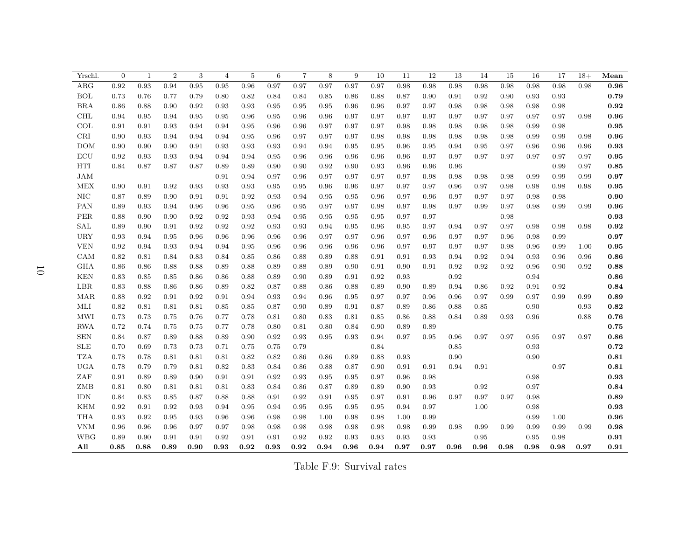| Yrschl.                         | $\theta$ | $\mathbf{1}$ | $\overline{2}$ | 3          | $\overline{4}$ | 5          | 6    | $\overline{7}$ | 8    | 9    | 10   | 11   | 12   | 13   | 14         | 15   | 16   | 17   | $18+$ | Mean       |
|---------------------------------|----------|--------------|----------------|------------|----------------|------------|------|----------------|------|------|------|------|------|------|------------|------|------|------|-------|------------|
| $\rm{ARG}$                      | 0.92     | 0.93         | 0.94           | 0.95       | 0.95           | 0.96       | 0.97 | 0.97           | 0.97 | 0.97 | 0.97 | 0.98 | 0.98 | 0.98 | 0.98       | 0.98 | 0.98 | 0.98 | 0.98  | 0.96       |
| <b>BOL</b>                      | 0.73     | 0.76         | 0.77           | 0.79       | 0.80           | 0.82       | 0.84 | 0.84           | 0.85 | 0.86 | 0.88 | 0.87 | 0.90 | 0.91 | 0.92       | 0.90 | 0.93 | 0.93 |       | 0.79       |
| <b>BRA</b>                      | 0.86     | 0.88         | 0.90           | 0.92       | 0.93           | 0.93       | 0.95 | 0.95           | 0.95 | 0.96 | 0.96 | 0.97 | 0.97 | 0.98 | 0.98       | 0.98 | 0.98 | 0.98 |       | 0.92       |
| <b>CHL</b>                      | 0.94     | 0.95         | 0.94           | 0.95       | 0.95           | 0.96       | 0.95 | 0.96           | 0.96 | 0.97 | 0.97 | 0.97 | 0.97 | 0.97 | 0.97       | 0.97 | 0.97 | 0.97 | 0.98  | $\bf 0.96$ |
| COL                             | 0.91     | 0.91         | 0.93           | 0.94       | 0.94           | $\,0.95\,$ | 0.96 | 0.96           | 0.97 | 0.97 | 0.97 | 0.98 | 0.98 | 0.98 | 0.98       | 0.98 | 0.99 | 0.98 |       | $\bf 0.95$ |
| $\operatorname{CRI}$            | 0.90     | 0.93         | 0.94           | 0.94       | 0.94           | $\,0.95\,$ | 0.96 | 0.97           | 0.97 | 0.97 | 0.98 | 0.98 | 0.98 | 0.98 | 0.98       | 0.98 | 0.99 | 0.99 | 0.98  | $\bf 0.96$ |
| <b>DOM</b>                      | 0.90     | $0.90\,$     | 0.90           | $\rm 0.91$ | 0.93           | 0.93       | 0.93 | 0.94           | 0.94 | 0.95 | 0.95 | 0.96 | 0.95 | 0.94 | 0.95       | 0.97 | 0.96 | 0.96 | 0.96  | $\bf 0.93$ |
| ECU                             | 0.92     | 0.93         | 0.93           | 0.94       | 0.94           | 0.94       | 0.95 | 0.96           | 0.96 | 0.96 | 0.96 | 0.96 | 0.97 | 0.97 | 0.97       | 0.97 | 0.97 | 0.97 | 0.97  | 0.95       |
| HTI                             | 0.84     | 0.87         | 0.87           | 0.87       | 0.89           | 0.89       | 0.90 | 0.90           | 0.92 | 0.90 | 0.93 | 0.96 | 0.96 | 0.96 |            |      |      | 0.99 | 0.97  | 0.85       |
| <b>JAM</b>                      |          |              |                |            | 0.91           | 0.94       | 0.97 | 0.96           | 0.97 | 0.97 | 0.97 | 0.97 | 0.98 | 0.98 | 0.98       | 0.98 | 0.99 | 0.99 | 0.99  | 0.97       |
| <b>MEX</b>                      | 0.90     | 0.91         | 0.92           | 0.93       | 0.93           | 0.93       | 0.95 | 0.95           | 0.96 | 0.96 | 0.97 | 0.97 | 0.97 | 0.96 | 0.97       | 0.98 | 0.98 | 0.98 | 0.98  | 0.95       |
| $\rm NIC$                       | 0.87     | 0.89         | 0.90           | 0.91       | 0.91           | 0.92       | 0.93 | 0.94           | 0.95 | 0.95 | 0.96 | 0.97 | 0.96 | 0.97 | 0.97       | 0.97 | 0.98 | 0.98 |       | 0.90       |
| PAN                             | 0.89     | 0.93         | 0.94           | 0.96       | 0.96           | $\,0.95\,$ | 0.96 | 0.95           | 0.97 | 0.97 | 0.98 | 0.97 | 0.98 | 0.97 | 0.99       | 0.97 | 0.98 | 0.99 | 0.99  | $\bf 0.96$ |
| PER                             | 0.88     | 0.90         | 0.90           | 0.92       | 0.92           | 0.93       | 0.94 | 0.95           | 0.95 | 0.95 | 0.95 | 0.97 | 0.97 |      |            | 0.98 |      |      |       | $\bf 0.93$ |
| $\operatorname{SAL}$            | 0.89     | 0.90         | 0.91           | 0.92       | 0.92           | 0.92       | 0.93 | 0.93           | 0.94 | 0.95 | 0.96 | 0.95 | 0.97 | 0.94 | 0.97       | 0.97 | 0.98 | 0.98 | 0.98  | 0.92       |
| <b>URY</b>                      | 0.93     | 0.94         | 0.95           | 0.96       | 0.96           | 0.96       | 0.96 | 0.96           | 0.97 | 0.97 | 0.96 | 0.97 | 0.96 | 0.97 | 0.97       | 0.96 | 0.98 | 0.99 |       | 0.97       |
| <b>VEN</b>                      | 0.92     | 0.94         | 0.93           | 0.94       | 0.94           | 0.95       | 0.96 | 0.96           | 0.96 | 0.96 | 0.96 | 0.97 | 0.97 | 0.97 | 0.97       | 0.98 | 0.96 | 0.99 | 1.00  | 0.95       |
| CAM                             | 0.82     | 0.81         | 0.84           | 0.83       | 0.84           | 0.85       | 0.86 | 0.88           | 0.89 | 0.88 | 0.91 | 0.91 | 0.93 | 0.94 | 0.92       | 0.94 | 0.93 | 0.96 | 0.96  | 0.86       |
| <b>GHA</b>                      | 0.86     | 0.86         | 0.88           | 0.88       | 0.89           | 0.88       | 0.89 | 0.88           | 0.89 | 0.90 | 0.91 | 0.90 | 0.91 | 0.92 | 0.92       | 0.92 | 0.96 | 0.90 | 0.92  | 0.88       |
| <b>KEN</b>                      | 0.83     | 0.85         | 0.85           | 0.86       | 0.86           | 0.88       | 0.89 | 0.90           | 0.89 | 0.91 | 0.92 | 0.93 |      | 0.92 |            |      | 0.94 |      |       | 0.86       |
| LBR                             | 0.83     | 0.88         | 0.86           | 0.86       | 0.89           | 0.82       | 0.87 | 0.88           | 0.86 | 0.88 | 0.89 | 0.90 | 0.89 | 0.94 | 0.86       | 0.92 | 0.91 | 0.92 |       | 0.84       |
| MAR                             | 0.88     | 0.92         | 0.91           | 0.92       | 0.91           | 0.94       | 0.93 | 0.94           | 0.96 | 0.95 | 0.97 | 0.97 | 0.96 | 0.96 | 0.97       | 0.99 | 0.97 | 0.99 | 0.99  | 0.89       |
| MLI                             | 0.82     | 0.81         | 0.81           | 0.81       | 0.85           | 0.85       | 0.87 | 0.90           | 0.89 | 0.91 | 0.87 | 0.89 | 0.86 | 0.88 | 0.85       |      | 0.90 |      | 0.93  | $\bf 0.82$ |
| <b>MWI</b>                      | 0.73     | 0.73         | 0.75           | 0.76       | 0.77           | 0.78       | 0.81 | 0.80           | 0.83 | 0.81 | 0.85 | 0.86 | 0.88 | 0.84 | 0.89       | 0.93 | 0.96 |      | 0.88  | 0.76       |
| <b>RWA</b>                      | 0.72     | 0.74         | 0.75           | 0.75       | 0.77           | 0.78       | 0.80 | 0.81           | 0.80 | 0.84 | 0.90 | 0.89 | 0.89 |      |            |      |      |      |       | 0.75       |
| ${\hbox{\footnotesize\rm SEN}}$ | 0.84     | 0.87         | 0.89           | 0.88       | 0.89           | 0.90       | 0.92 | 0.93           | 0.95 | 0.93 | 0.94 | 0.97 | 0.95 | 0.96 | 0.97       | 0.97 | 0.95 | 0.97 | 0.97  | 0.86       |
| <b>SLE</b>                      | 0.70     | 0.69         | 0.73           | 0.73       | 0.71           | 0.75       | 0.75 | 0.79           |      |      | 0.84 |      |      | 0.85 |            |      | 0.93 |      |       | $\bf0.72$  |
| <b>TZA</b>                      | 0.78     | 0.78         | 0.81           | 0.81       | 0.81           | 0.82       | 0.82 | 0.86           | 0.86 | 0.89 | 0.88 | 0.93 |      | 0.90 |            |      | 0.90 |      |       | $\bf 0.81$ |
| <b>UGA</b>                      | 0.78     | 0.79         | 0.79           | 0.81       | 0.82           | 0.83       | 0.84 | 0.86           | 0.88 | 0.87 | 0.90 | 0.91 | 0.91 | 0.94 | $\rm 0.91$ |      |      | 0.97 |       | $\bf 0.81$ |
| $\operatorname{ZAF}$            | 0.91     | 0.89         | 0.89           | 0.90       | 0.91           | 0.91       | 0.92 | 0.93           | 0.95 | 0.95 | 0.97 | 0.96 | 0.98 |      |            |      | 0.98 |      |       | $\bf 0.93$ |
| ${\rm ZMB}$                     | 0.81     | 0.80         | 0.81           | 0.81       | 0.81           | 0.83       | 0.84 | 0.86           | 0.87 | 0.89 | 0.89 | 0.90 | 0.93 |      | 0.92       |      | 0.97 |      |       | 0.84       |
| <b>IDN</b>                      | 0.84     | 0.83         | 0.85           | 0.87       | 0.88           | 0.88       | 0.91 | 0.92           | 0.91 | 0.95 | 0.97 | 0.91 | 0.96 | 0.97 | 0.97       | 0.97 | 0.98 |      |       | 0.89       |
| <b>KHM</b>                      | 0.92     | 0.91         | 0.92           | 0.93       | 0.94           | 0.95       | 0.94 | 0.95           | 0.95 | 0.95 | 0.95 | 0.94 | 0.97 |      | 1.00       |      | 0.98 |      |       | 0.93       |
| <b>THA</b>                      | 0.93     | 0.92         | 0.95           | 0.93       | 0.96           | 0.96       | 0.98 | 0.98           | 1.00 | 0.98 | 0.98 | 1.00 | 0.99 |      |            |      | 0.99 | 1.00 |       | 0.96       |
| <b>VNM</b>                      | 0.96     | 0.96         | 0.96           | 0.97       | 0.97           | 0.98       | 0.98 | 0.98           | 0.98 | 0.98 | 0.98 | 0.98 | 0.99 | 0.98 | 0.99       | 0.99 | 0.99 | 0.99 | 0.99  | 0.98       |
| <b>WBG</b>                      | 0.89     | 0.90         | 0.91           | 0.91       | 0.92           | 0.91       | 0.91 | 0.92           | 0.92 | 0.93 | 0.93 | 0.93 | 0.93 |      | 0.95       |      | 0.95 | 0.98 |       | 0.91       |
| All                             | 0.85     | 0.88         | 0.89           | 0.90       | 0.93           | 0.92       | 0.93 | 0.92           | 0.94 | 0.96 | 0.94 | 0.97 | 0.97 | 0.96 | 0.96       | 0.98 | 0.98 | 0.98 | 0.97  | 0.91       |

Table F.9: Survival rates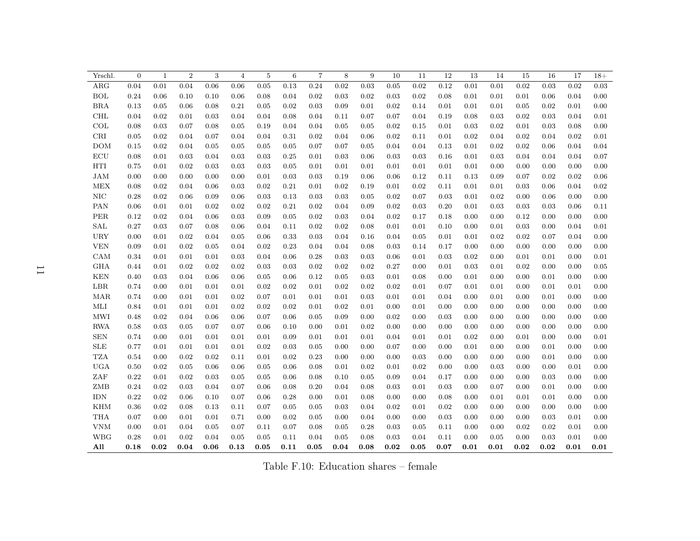| Yrschl.    | $\boldsymbol{0}$ | $\mathbf 1$ | $\overline{2}$ | 3    | 4    | 5    | 6    | $\overline{7}$ | 8    | 9    | 10   | 11   | 12   | 13   | 14         | 15   | 16   | 17   | $18+$ |
|------------|------------------|-------------|----------------|------|------|------|------|----------------|------|------|------|------|------|------|------------|------|------|------|-------|
| ARG        | 0.04             | 0.01        | 0.04           | 0.06 | 0.06 | 0.05 | 0.13 | 0.24           | 0.02 | 0.03 | 0.05 | 0.02 | 0.12 | 0.01 | 0.01       | 0.02 | 0.03 | 0.02 | 0.03  |
| BOL        | 0.24             | 0.06        | 0.10           | 0.10 | 0.06 | 0.08 | 0.04 | 0.02           | 0.03 | 0.02 | 0.03 | 0.02 | 0.08 | 0.01 | 0.01       | 0.01 | 0.06 | 0.04 | 0.00  |
| BRA        | 0.13             | 0.05        | 0.06           | 0.08 | 0.21 | 0.05 | 0.02 | 0.03           | 0.09 | 0.01 | 0.02 | 0.14 | 0.01 | 0.01 | 0.01       | 0.05 | 0.02 | 0.01 | 0.00  |
| $\rm CHL$  | 0.04             | 0.02        | 0.01           | 0.03 | 0.04 | 0.04 | 0.08 | 0.04           | 0.11 | 0.07 | 0.07 | 0.04 | 0.19 | 0.08 | 0.03       | 0.02 | 0.03 | 0.04 | 0.01  |
| COL        | 0.08             | 0.03        | 0.07           | 0.08 | 0.05 | 0.19 | 0.04 | 0.04           | 0.05 | 0.05 | 0.02 | 0.15 | 0.01 | 0.03 | 0.02       | 0.01 | 0.03 | 0.08 | 0.00  |
| CRI        | 0.05             | 0.02        | 0.04           | 0.07 | 0.04 | 0.04 | 0.31 | 0.02           | 0.04 | 0.06 | 0.02 | 0.11 | 0.01 | 0.02 | 0.04       | 0.02 | 0.04 | 0.02 | 0.01  |
| <b>DOM</b> | 0.15             | 0.02        | 0.04           | 0.05 | 0.05 | 0.05 | 0.05 | 0.07           | 0.07 | 0.05 | 0.04 | 0.04 | 0.13 | 0.01 | 0.02       | 0.02 | 0.06 | 0.04 | 0.04  |
| ECU        | 0.08             | 0.01        | 0.03           | 0.04 | 0.03 | 0.03 | 0.25 | 0.01           | 0.03 | 0.06 | 0.03 | 0.03 | 0.16 | 0.01 | 0.03       | 0.04 | 0.04 | 0.04 | 0.07  |
| HTI        | 0.75             | 0.01        | 0.02           | 0.03 | 0.03 | 0.03 | 0.05 | 0.01           | 0.01 | 0.01 | 0.01 | 0.01 | 0.01 | 0.01 | 0.00       | 0.00 | 0.00 | 0.00 | 0.00  |
| JAM        | 0.00             | 0.00        | 0.00           | 0.00 | 0.00 | 0.01 | 0.03 | 0.03           | 0.19 | 0.06 | 0.06 | 0.12 | 0.11 | 0.13 | 0.09       | 0.07 | 0.02 | 0.02 | 0.06  |
| <b>MEX</b> | 0.08             | 0.02        | 0.04           | 0.06 | 0.03 | 0.02 | 0.21 | 0.01           | 0.02 | 0.19 | 0.01 | 0.02 | 0.11 | 0.01 | 0.01       | 0.03 | 0.06 | 0.04 | 0.02  |
| NIC        | 0.28             | 0.02        | 0.06           | 0.09 | 0.06 | 0.03 | 0.13 | 0.03           | 0.03 | 0.05 | 0.02 | 0.07 | 0.03 | 0.01 | $\rm 0.02$ | 0.00 | 0.06 | 0.00 | 0.00  |
| PAN        | 0.06             | 0.01        | 0.01           | 0.02 | 0.02 | 0.02 | 0.21 | 0.02           | 0.04 | 0.09 | 0.02 | 0.03 | 0.20 | 0.01 | 0.03       | 0.03 | 0.03 | 0.06 | 0.11  |
| <b>PER</b> | 0.12             | 0.02        | 0.04           | 0.06 | 0.03 | 0.09 | 0.05 | 0.02           | 0.03 | 0.04 | 0.02 | 0.17 | 0.18 | 0.00 | 0.00       | 0.12 | 0.00 | 0.00 | 0.00  |
| SAL        | 0.27             | 0.03        | 0.07           | 0.08 | 0.06 | 0.04 | 0.11 | 0.02           | 0.02 | 0.08 | 0.01 | 0.01 | 0.10 | 0.00 | 0.01       | 0.03 | 0.00 | 0.04 | 0.01  |
| <b>URY</b> | 0.00             | 0.01        | 0.02           | 0.04 | 0.05 | 0.06 | 0.33 | 0.03           | 0.04 | 0.16 | 0.04 | 0.05 | 0.01 | 0.01 | 0.02       | 0.02 | 0.07 | 0.04 | 0.00  |
| <b>VEN</b> | 0.09             | 0.01        | 0.02           | 0.05 | 0.04 | 0.02 | 0.23 | 0.04           | 0.04 | 0.08 | 0.03 | 0.14 | 0.17 | 0.00 | 0.00       | 0.00 | 0.00 | 0.00 | 0.00  |
| CAM        | 0.34             | 0.01        | 0.01           | 0.01 | 0.03 | 0.04 | 0.06 | 0.28           | 0.03 | 0.03 | 0.06 | 0.01 | 0.03 | 0.02 | 0.00       | 0.01 | 0.01 | 0.00 | 0.01  |
| <b>GHA</b> | 0.44             | 0.01        | 0.02           | 0.02 | 0.02 | 0.03 | 0.03 | 0.02           | 0.02 | 0.02 | 0.27 | 0.00 | 0.01 | 0.03 | 0.01       | 0.02 | 0.00 | 0.00 | 0.05  |
| <b>KEN</b> | 0.40             | 0.03        | 0.04           | 0.06 | 0.06 | 0.05 | 0.06 | 0.12           | 0.05 | 0.03 | 0.01 | 0.08 | 0.00 | 0.01 | 0.00       | 0.00 | 0.01 | 0.00 | 0.00  |
| LBR        | 0.74             | 0.00        | 0.01           | 0.01 | 0.01 | 0.02 | 0.02 | 0.01           | 0.02 | 0.02 | 0.02 | 0.01 | 0.07 | 0.01 | 0.01       | 0.00 | 0.01 | 0.01 | 0.00  |
| MAR        | 0.74             | 0.00        | 0.01           | 0.01 | 0.02 | 0.07 | 0.01 | 0.01           | 0.01 | 0.03 | 0.01 | 0.01 | 0.04 | 0.00 | 0.01       | 0.00 | 0.01 | 0.00 | 0.00  |
| MLI        | 0.84             | 0.01        | 0.01           | 0.01 | 0.02 | 0.02 | 0.02 | 0.01           | 0.02 | 0.01 | 0.00 | 0.01 | 0.00 | 0.00 | 0.00       | 0.00 | 0.00 | 0.00 | 0.00  |
| MWI        | 0.48             | 0.02        | 0.04           | 0.06 | 0.06 | 0.07 | 0.06 | 0.05           | 0.09 | 0.00 | 0.02 | 0.00 | 0.03 | 0.00 | 0.00       | 0.00 | 0.00 | 0.00 | 0.00  |
| <b>RWA</b> | 0.58             | 0.03        | 0.05           | 0.07 | 0.07 | 0.06 | 0.10 | 0.00           | 0.01 | 0.02 | 0.00 | 0.00 | 0.00 | 0.00 | 0.00       | 0.00 | 0.00 | 0.00 | 0.00  |
| <b>SEN</b> | 0.74             | 0.00        | 0.01           | 0.01 | 0.01 | 0.01 | 0.09 | 0.01           | 0.01 | 0.01 | 0.04 | 0.01 | 0.01 | 0.02 | 0.00       | 0.01 | 0.00 | 0.00 | 0.01  |
| <b>SLE</b> | 0.77             | 0.01        | 0.01           | 0.01 | 0.01 | 0.02 | 0.03 | 0.05           | 0.00 | 0.00 | 0.07 | 0.00 | 0.00 | 0.01 | 0.00       | 0.00 | 0.01 | 0.00 | 0.00  |
| <b>TZA</b> | 0.54             | 0.00        | 0.02           | 0.02 | 0.11 | 0.01 | 0.02 | 0.23           | 0.00 | 0.00 | 0.00 | 0.03 | 0.00 | 0.00 | 0.00       | 0.00 | 0.01 | 0.00 | 0.00  |
| <b>UGA</b> | $0.50\,$         | 0.02        | 0.05           | 0.06 | 0.06 | 0.05 | 0.06 | 0.08           | 0.01 | 0.02 | 0.01 | 0.02 | 0.00 | 0.00 | 0.03       | 0.00 | 0.00 | 0.01 | 0.00  |
| ZAF        | 0.22             | 0.01        | 0.02           | 0.03 | 0.05 | 0.05 | 0.06 | 0.08           | 0.10 | 0.05 | 0.09 | 0.04 | 0.17 | 0.00 | 0.00       | 0.00 | 0.03 | 0.00 | 0.00  |
| ZMB        | 0.24             | 0.02        | 0.03           | 0.04 | 0.07 | 0.06 | 0.08 | 0.20           | 0.04 | 0.08 | 0.03 | 0.01 | 0.03 | 0.00 | 0.07       | 0.00 | 0.01 | 0.00 | 0.00  |
| <b>IDN</b> | 0.22             | 0.02        | 0.06           | 0.10 | 0.07 | 0.06 | 0.28 | 0.00           | 0.01 | 0.08 | 0.00 | 0.00 | 0.08 | 0.00 | 0.01       | 0.01 | 0.01 | 0.00 | 0.00  |
| <b>KHM</b> | 0.36             | 0.02        | 0.08           | 0.13 | 0.11 | 0.07 | 0.05 | 0.05           | 0.03 | 0.04 | 0.02 | 0.01 | 0.02 | 0.00 | 0.00       | 0.00 | 0.00 | 0.00 | 0.00  |
| <b>THA</b> | 0.07             | 0.00        | 0.01           | 0.01 | 0.71 | 0.00 | 0.02 | 0.05           | 0.00 | 0.04 | 0.00 | 0.00 | 0.03 | 0.00 | 0.00       | 0.00 | 0.03 | 0.01 | 0.00  |
| <b>VNM</b> | 0.00             | 0.01        | 0.04           | 0.05 | 0.07 | 0.11 | 0.07 | 0.08           | 0.05 | 0.28 | 0.03 | 0.05 | 0.11 | 0.00 | 0.00       | 0.02 | 0.02 | 0.01 | 0.00  |
| <b>WBG</b> | 0.28             | 0.01        | 0.02           | 0.04 | 0.05 | 0.05 | 0.11 | 0.04           | 0.05 | 0.08 | 0.03 | 0.04 | 0.11 | 0.00 | 0.05       | 0.00 | 0.03 | 0.01 | 0.00  |
| All        | 0.18             | 0.02        | 0.04           | 0.06 | 0.13 | 0.05 | 0.11 | 0.05           | 0.04 | 0.08 | 0.02 | 0.05 | 0.07 | 0.01 | 0.01       | 0.02 | 0.02 | 0.01 | 0.01  |

Table F.10: Education shares – female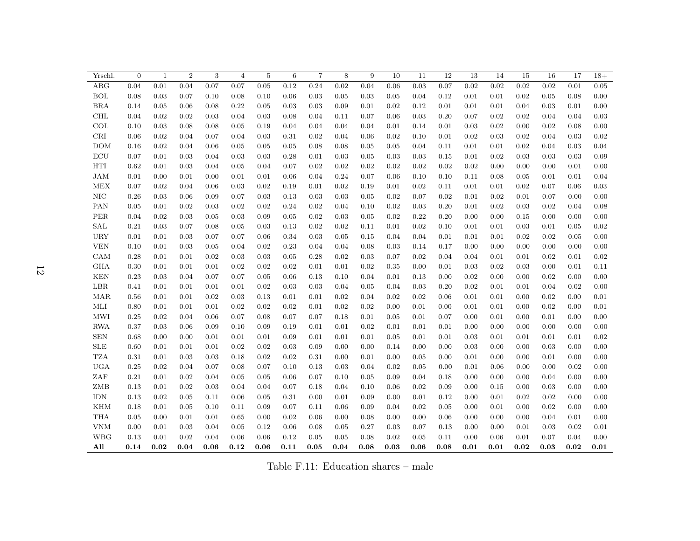| Yrschl.    | $\overline{0}$ | $\mathbf{1}$ | $\overline{2}$ | 3    | 4    | 5    | $\,6\,$ | $\overline{7}$ | $\,8\,$ | 9    | 10   | 11   | 12   | 13   | 14   | 15   | 16   | 17   | $18+$ |
|------------|----------------|--------------|----------------|------|------|------|---------|----------------|---------|------|------|------|------|------|------|------|------|------|-------|
| ARG        | 0.04           | 0.01         | 0.04           | 0.07 | 0.07 | 0.05 | 0.12    | 0.24           | 0.02    | 0.04 | 0.06 | 0.03 | 0.07 | 0.02 | 0.02 | 0.02 | 0.02 | 0.01 | 0.05  |
| BOL        | 0.08           | 0.03         | 0.07           | 0.10 | 0.08 | 0.10 | 0.06    | 0.03           | 0.05    | 0.03 | 0.05 | 0.04 | 0.12 | 0.01 | 0.01 | 0.02 | 0.05 | 0.08 | 0.00  |
| BRA        | 0.14           | 0.05         | 0.06           | 0.08 | 0.22 | 0.05 | 0.03    | 0.03           | 0.09    | 0.01 | 0.02 | 0.12 | 0.01 | 0.01 | 0.01 | 0.04 | 0.03 | 0.01 | 0.00  |
| $\rm CHL$  | 0.04           | 0.02         | 0.02           | 0.03 | 0.04 | 0.03 | 0.08    | 0.04           | 0.11    | 0.07 | 0.06 | 0.03 | 0.20 | 0.07 | 0.02 | 0.02 | 0.04 | 0.04 | 0.03  |
| COL        | 0.10           | 0.03         | 0.08           | 0.08 | 0.05 | 0.19 | 0.04    | 0.04           | 0.04    | 0.04 | 0.01 | 0.14 | 0.01 | 0.03 | 0.02 | 0.00 | 0.02 | 0.08 | 0.00  |
| CRI        | 0.06           | 0.02         | 0.04           | 0.07 | 0.04 | 0.03 | 0.31    | 0.02           | 0.04    | 0.06 | 0.02 | 0.10 | 0.01 | 0.02 | 0.03 | 0.02 | 0.04 | 0.03 | 0.02  |
| <b>DOM</b> | 0.16           | 0.02         | 0.04           | 0.06 | 0.05 | 0.05 | 0.05    | 0.08           | 0.08    | 0.05 | 0.05 | 0.04 | 0.11 | 0.01 | 0.01 | 0.02 | 0.04 | 0.03 | 0.04  |
| ECU        | 0.07           | 0.01         | 0.03           | 0.04 | 0.03 | 0.03 | 0.28    | 0.01           | 0.03    | 0.05 | 0.03 | 0.03 | 0.15 | 0.01 | 0.02 | 0.03 | 0.03 | 0.03 | 0.09  |
| HTI        | 0.62           | 0.01         | 0.03           | 0.04 | 0.05 | 0.04 | 0.07    | 0.02           | 0.02    | 0.02 | 0.02 | 0.02 | 0.02 | 0.02 | 0.00 | 0.00 | 0.00 | 0.01 | 0.00  |
| JAM        | 0.01           | 0.00         | 0.01           | 0.00 | 0.01 | 0.01 | 0.06    | 0.04           | 0.24    | 0.07 | 0.06 | 0.10 | 0.10 | 0.11 | 0.08 | 0.05 | 0.01 | 0.01 | 0.04  |
| <b>MEX</b> | 0.07           | 0.02         | 0.04           | 0.06 | 0.03 | 0.02 | 0.19    | 0.01           | 0.02    | 0.19 | 0.01 | 0.02 | 0.11 | 0.01 | 0.01 | 0.02 | 0.07 | 0.06 | 0.03  |
| NIC        | 0.26           | 0.03         | 0.06           | 0.09 | 0.07 | 0.03 | 0.13    | 0.03           | 0.03    | 0.05 | 0.02 | 0.07 | 0.02 | 0.01 | 0.02 | 0.01 | 0.07 | 0.00 | 0.00  |
| <b>PAN</b> | 0.05           | 0.01         | 0.02           | 0.03 | 0.02 | 0.02 | 0.24    | 0.02           | 0.04    | 0.10 | 0.02 | 0.03 | 0.20 | 0.01 | 0.02 | 0.03 | 0.02 | 0.04 | 0.08  |
| <b>PER</b> | 0.04           | 0.02         | 0.03           | 0.05 | 0.03 | 0.09 | 0.05    | 0.02           | 0.03    | 0.05 | 0.02 | 0.22 | 0.20 | 0.00 | 0.00 | 0.15 | 0.00 | 0.00 | 0.00  |
| SAL        | 0.21           | 0.03         | 0.07           | 0.08 | 0.05 | 0.03 | 0.13    | 0.02           | 0.02    | 0.11 | 0.01 | 0.02 | 0.10 | 0.01 | 0.01 | 0.03 | 0.01 | 0.05 | 0.02  |
| <b>URY</b> | 0.01           | 0.01         | 0.03           | 0.07 | 0.07 | 0.06 | 0.34    | 0.03           | 0.05    | 0.15 | 0.04 | 0.04 | 0.01 | 0.01 | 0.01 | 0.02 | 0.02 | 0.05 | 0.00  |
| <b>VEN</b> | 0.10           | 0.01         | 0.03           | 0.05 | 0.04 | 0.02 | 0.23    | 0.04           | 0.04    | 0.08 | 0.03 | 0.14 | 0.17 | 0.00 | 0.00 | 0.00 | 0.00 | 0.00 | 0.00  |
| CAM        | 0.28           | 0.01         | 0.01           | 0.02 | 0.03 | 0.03 | 0.05    | 0.28           | 0.02    | 0.03 | 0.07 | 0.02 | 0.04 | 0.04 | 0.01 | 0.01 | 0.02 | 0.01 | 0.02  |
| <b>GHA</b> | 0.30           | 0.01         | 0.01           | 0.01 | 0.02 | 0.02 | 0.02    | 0.01           | 0.01    | 0.02 | 0.35 | 0.00 | 0.01 | 0.03 | 0.02 | 0.03 | 0.00 | 0.01 | 0.11  |
| <b>KEN</b> | 0.23           | 0.03         | 0.04           | 0.07 | 0.07 | 0.05 | 0.06    | 0.13           | 0.10    | 0.04 | 0.01 | 0.13 | 0.00 | 0.02 | 0.00 | 0.00 | 0.02 | 0.00 | 0.00  |
| LBR        | 0.41           | 0.01         | 0.01           | 0.01 | 0.01 | 0.02 | 0.03    | 0.03           | 0.04    | 0.05 | 0.04 | 0.03 | 0.20 | 0.02 | 0.01 | 0.01 | 0.04 | 0.02 | 0.00  |
| MAR        | 0.56           | 0.01         | 0.01           | 0.02 | 0.03 | 0.13 | 0.01    | 0.01           | 0.02    | 0.04 | 0.02 | 0.02 | 0.06 | 0.01 | 0.01 | 0.00 | 0.02 | 0.00 | 0.01  |
| MLI        | 0.80           | 0.01         | 0.01           | 0.01 | 0.02 | 0.02 | 0.02    | 0.01           | 0.02    | 0.02 | 0.00 | 0.01 | 0.00 | 0.01 | 0.01 | 0.00 | 0.02 | 0.00 | 0.01  |
| MWI        | 0.25           | 0.02         | 0.04           | 0.06 | 0.07 | 0.08 | 0.07    | 0.07           | 0.18    | 0.01 | 0.05 | 0.01 | 0.07 | 0.00 | 0.01 | 0.00 | 0.01 | 0.00 | 0.00  |
| <b>RWA</b> | 0.37           | 0.03         | 0.06           | 0.09 | 0.10 | 0.09 | 0.19    | 0.01           | 0.01    | 0.02 | 0.01 | 0.01 | 0.01 | 0.00 | 0.00 | 0.00 | 0.00 | 0.00 | 0.00  |
| <b>SEN</b> | 0.68           | 0.00         | 0.00           | 0.01 | 0.01 | 0.01 | 0.09    | 0.01           | 0.01    | 0.01 | 0.05 | 0.01 | 0.01 | 0.03 | 0.01 | 0.01 | 0.01 | 0.01 | 0.02  |
| <b>SLE</b> | 0.60           | 0.01         | 0.01           | 0.01 | 0.02 | 0.02 | 0.03    | 0.09           | 0.00    | 0.00 | 0.14 | 0.00 | 0.00 | 0.03 | 0.00 | 0.00 | 0.03 | 0.00 | 0.00  |
| <b>TZA</b> | 0.31           | 0.01         | 0.03           | 0.03 | 0.18 | 0.02 | 0.02    | 0.31           | 0.00    | 0.01 | 0.00 | 0.05 | 0.00 | 0.01 | 0.00 | 0.00 | 0.01 | 0.00 | 0.00  |
| <b>UGA</b> | 0.25           | 0.02         | 0.04           | 0.07 | 0.08 | 0.07 | 0.10    | 0.13           | 0.03    | 0.04 | 0.02 | 0.05 | 0.00 | 0.01 | 0.06 | 0.00 | 0.00 | 0.02 | 0.00  |
| ZAF        | 0.21           | 0.01         | 0.02           | 0.04 | 0.05 | 0.05 | 0.06    | 0.07           | 0.10    | 0.05 | 0.09 | 0.04 | 0.18 | 0.00 | 0.00 | 0.00 | 0.04 | 0.00 | 0.00  |
| ZMB        | 0.13           | 0.01         | 0.02           | 0.03 | 0.04 | 0.04 | 0.07    | 0.18           | 0.04    | 0.10 | 0.06 | 0.02 | 0.09 | 0.00 | 0.15 | 0.00 | 0.03 | 0.00 | 0.00  |
| <b>IDN</b> | 0.13           | 0.02         | 0.05           | 0.11 | 0.06 | 0.05 | 0.31    | 0.00           | 0.01    | 0.09 | 0.00 | 0.01 | 0.12 | 0.00 | 0.01 | 0.02 | 0.02 | 0.00 | 0.00  |
| <b>KHM</b> | 0.18           | 0.01         | 0.05           | 0.10 | 0.11 | 0.09 | 0.07    | 0.11           | 0.06    | 0.09 | 0.04 | 0.02 | 0.05 | 0.00 | 0.01 | 0.00 | 0.02 | 0.00 | 0.00  |
| <b>THA</b> | 0.05           | 0.00         | 0.01           | 0.01 | 0.65 | 0.00 | 0.02    | 0.06           | 0.00    | 0.08 | 0.00 | 0.00 | 0.06 | 0.00 | 0.00 | 0.00 | 0.04 | 0.01 | 0.00  |
| <b>VNM</b> | 0.00           | 0.01         | 0.03           | 0.04 | 0.05 | 0.12 | 0.06    | 0.08           | 0.05    | 0.27 | 0.03 | 0.07 | 0.13 | 0.00 | 0.00 | 0.01 | 0.03 | 0.02 | 0.01  |
| <b>WBG</b> | 0.13           | 0.01         | 0.02           | 0.04 | 0.06 | 0.06 | 0.12    | 0.05           | 0.05    | 0.08 | 0.02 | 0.05 | 0.11 | 0.00 | 0.06 | 0.01 | 0.07 | 0.04 | 0.00  |
| All        | 0.14           | 0.02         | 0.04           | 0.06 | 0.12 | 0.06 | 0.11    | 0.05           | 0.04    | 0.08 | 0.03 | 0.06 | 0.08 | 0.01 | 0.01 | 0.02 | 0.03 | 0.02 | 0.01  |

Table F.11: Education shares – male